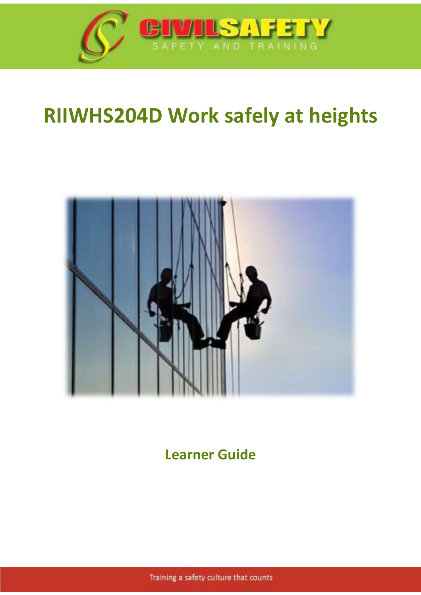

# **RIIWHS204D Work safely at heights**



**Learner Guide** 

Training a safety culture that counts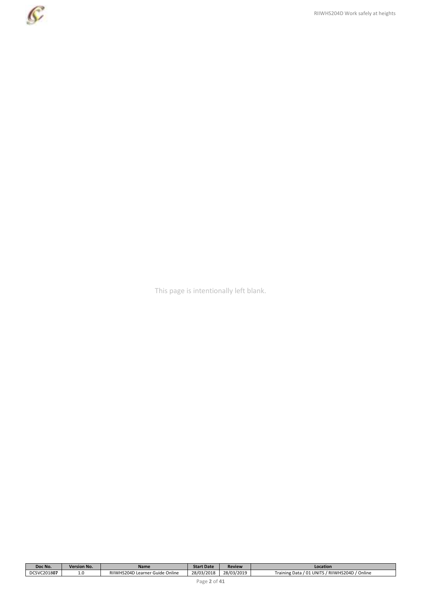

This page is intentionally left blank.

| Doc No.     | <b>Version No.</b> | <b>Name</b>                                       | <b>Start Date</b> | <b>Review</b> | Location                                               |
|-------------|--------------------|---------------------------------------------------|-------------------|---------------|--------------------------------------------------------|
| DCSVC201807 | $\mathbf{A}$ .0    | Online<br><b>HS204D Learner</b><br>RIIWH<br>Guide | 28/03/2018        | 28/03/2019    | RIIWHS204D<br>d Online<br>$01$ UNIT<br>Data<br>raining |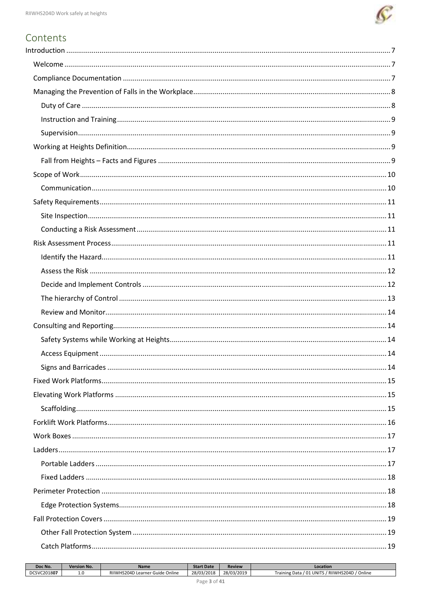

# Contents

| Doc No.           | <b>Version No.</b> | <b>Name</b>                                    | <b>Start Date</b> | <b>Review</b> | Location                                           |
|-------------------|--------------------|------------------------------------------------|-------------------|---------------|----------------------------------------------------|
| :SVC201807<br>DCS | ⊥∙∪                | Online<br>RIIWHS204D L<br>. Guide<br>uearner 1 | 28/03/<br>/2018   | 28/03/2019    | ' Online<br>RIIWHS204D<br>UNITS<br>Data<br>raining |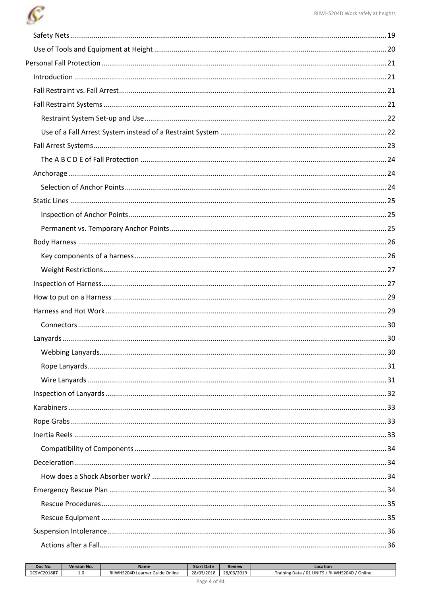

| Doc No.     | <b>Version No.</b> | Name                                              | <b>Start Date</b> | <b>Review</b> | Location                                                             |
|-------------|--------------------|---------------------------------------------------|-------------------|---------------|----------------------------------------------------------------------|
| DCSVC201807 | ⊥.⊾                | RIIWHS204D Learner G<br><sup>-</sup> Guide Online | 28/03/2018        | 28/03/2019    | ' Online<br>/ RIIWHS204D<br>UNITS<br>$\sim$<br>. Training Data<br>υ⊥ |
|             |                    |                                                   |                   |               |                                                                      |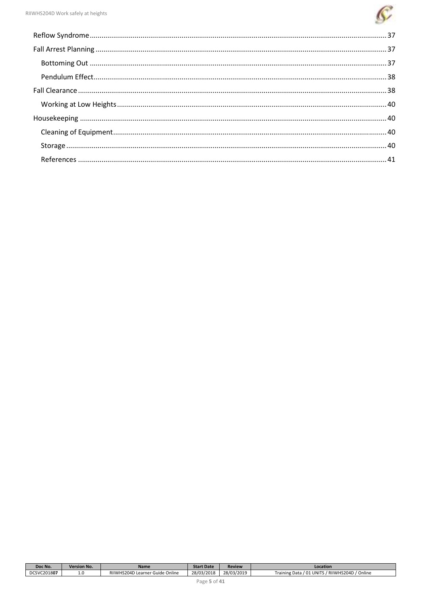

| Doc No.     | <b>Version No.</b> | Name                                               | <b>Start Date</b> | <b>Review</b> | Location                                                        |
|-------------|--------------------|----------------------------------------------------|-------------------|---------------|-----------------------------------------------------------------|
| DCSVC201807 |                    | RIIWHS204D Learner<br>Online<br><sup>.</sup> Guide | 28/03/2018        | 28/03/2019    | / Online<br>RIIWHS204D<br>01 UNITS<br><sup>r</sup> raining Data |
|             |                    |                                                    |                   |               |                                                                 |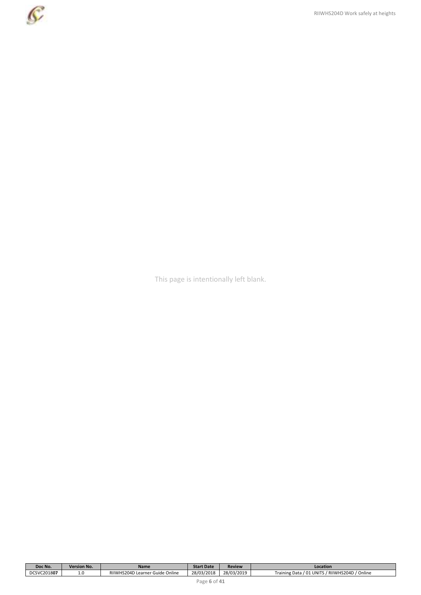

This page is intentionally left blank.

| Doc No.             | <b>Version No.</b> | <b>Name</b>                             | <b>Start Date</b> | <b>Review</b> | Location                                                                                |
|---------------------|--------------------|-----------------------------------------|-------------------|---------------|-----------------------------------------------------------------------------------------|
| DCSVC201807<br>DCC. | 1.U                | RIIWHS204D Learner (<br>Online<br>Guide | 28/03/2018        | 28/03/2019    | 15204C<br>d Online<br>$'$ RIIW<br>. UNITS<br>MHL<br>iraining<br>$-+ -$<br>. Udld<br>ັ∪⊥ |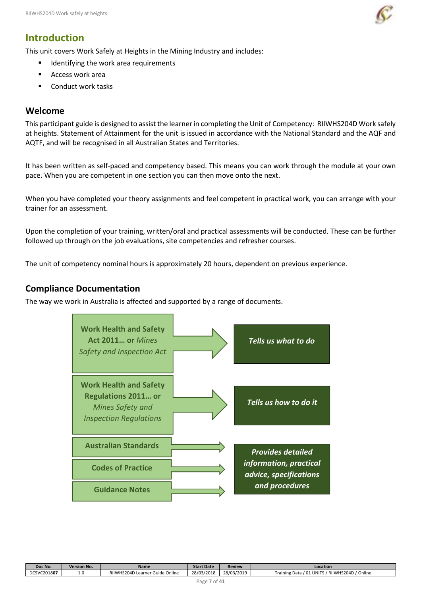

# **Introduction**

This unit covers Work Safely at Heights in the Mining Industry and includes:

- Identifying the work area requirements
- **Access work area**
- Conduct work tasks

### **Welcome**

This participant guide is designed to assist the learner in completing the Unit of Competency: RIIWHS204D Work safely at heights. Statement of Attainment for the unit is issued in accordance with the National Standard and the AQF and AQTF, and will be recognised in all Australian States and Territories.

It has been written as self-paced and competency based. This means you can work through the module at your own pace. When you are competent in one section you can then move onto the next.

When you have completed your theory assignments and feel competent in practical work, you can arrange with your trainer for an assessment.

Upon the completion of your training, written/oral and practical assessments will be conducted. These can be further followed up through on the job evaluations, site competencies and refresher courses.

The unit of competency nominal hours is approximately 20 hours, dependent on previous experience.

# **Compliance Documentation**

The way we work in Australia is affected and supported by a range of documents.



| Doc No.     | <b>Version No.</b> | Name                                           | <b>Start Date</b> | Review     | Location                                                                            |
|-------------|--------------------|------------------------------------------------|-------------------|------------|-------------------------------------------------------------------------------------|
| DCSVC201807 | ⊥.∪                | RIIWHS204D L<br>Online<br>' Guide<br>. Learner | 28/03/2018        | 28/03/2019 | RIIWHS204D /<br>' Online<br>UNIT <sup>®</sup><br>Data<br>$T$ raining.<br>'idli<br>. |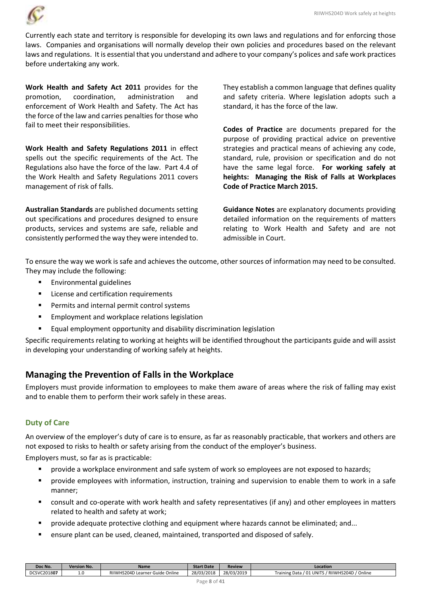

Currently each state and territory is responsible for developing its own laws and regulations and for enforcing those laws. Companies and organisations will normally develop their own policies and procedures based on the relevant laws and regulations. It is essential that you understand and adhere to your company's polices and safe work practices before undertaking any work.

**Work Health and Safety Act 2011** provides for the promotion, coordination, administration and enforcement of Work Health and Safety. The Act has the force of the law and carries penalties for those who fail to meet their responsibilities.

**Work Health and Safety Regulations 2011** in effect spells out the specific requirements of the Act. The Regulations also have the force of the law. Part 4.4 of the Work Health and Safety Regulations 2011 covers management of risk of falls.

**Australian Standards** are published documents setting out specifications and procedures designed to ensure products, services and systems are safe, reliable and consistently performed the way they were intended to. They establish a common language that defines quality and safety criteria. Where legislation adopts such a standard, it has the force of the law.

**Codes of Practice** are documents prepared for the purpose of providing practical advice on preventive strategies and practical means of achieving any code, standard, rule, provision or specification and do not have the same legal force. **For working safely at heights: Managing the Risk of Falls at Workplaces Code of Practice March 2015.**

**Guidance Notes** are explanatory documents providing detailed information on the requirements of matters relating to Work Health and Safety and are not admissible in Court.

To ensure the way we work is safe and achieves the outcome, other sources of information may need to be consulted. They may include the following:

- **Environmental guidelines**
- **EXEC** License and certification requirements
- **Permits and internal permit control systems**
- **Employment and workplace relations legislation**
- Equal employment opportunity and disability discrimination legislation

Specific requirements relating to working at heights will be identified throughout the participants guide and will assist in developing your understanding of working safely at heights.

# **Managing the Prevention of Falls in the Workplace**

Employers must provide information to employees to make them aware of areas where the risk of falling may exist and to enable them to perform their work safely in these areas.

### **Duty of Care**

An overview of the employer's duty of care is to ensure, as far as reasonably practicable, that workers and others are not exposed to risks to health or safety arising from the conduct of the employer's business.

Employers must, so far as is practicable:

- provide a workplace environment and safe system of work so employees are not exposed to hazards;
- **Perovide employees with information, instruction, training and supervision to enable them to work in a safe** manner;
- consult and co-operate with work health and safety representatives (if any) and other employees in matters related to health and safety at work;
- provide adequate protective clothing and equipment where hazards cannot be eliminated; and...
- ensure plant can be used, cleaned, maintained, transported and disposed of safely.

| Doc No.     | <b>Version No.</b> | <b>Name</b>                           | <b>Start Date</b> | <b>Review</b> | Location                                                                                       |
|-------------|--------------------|---------------------------------------|-------------------|---------------|------------------------------------------------------------------------------------------------|
| DCSVC201807 | $\pm \cdot \vee$   | RIIWHS204D Learner<br>Online<br>Guide | 28/03/2018        | 28/03/2019    | d Online<br><b>LUNIT</b><br>/HS204D<br><b>RIIWI</b><br>Data<br><b>Fraining</b><br>$\mathbf{u}$ |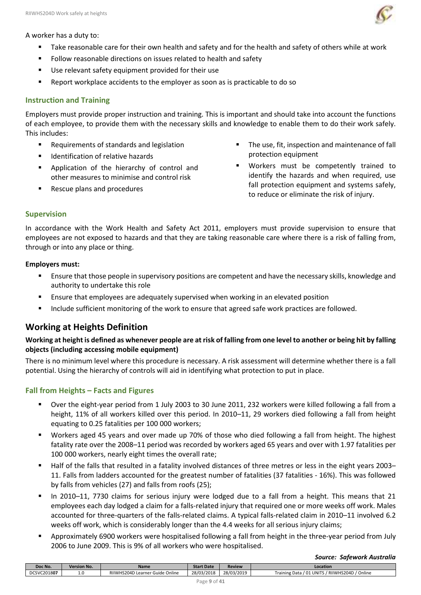

A worker has a duty to:

- Take reasonable care for their own health and safety and for the health and safety of others while at work
- Follow reasonable directions on issues related to health and safety
- Use relevant safety equipment provided for their use
- Report workplace accidents to the employer as soon as is practicable to do so

### **Instruction and Training**

Employers must provide proper instruction and training. This is important and should take into account the functions of each employee, to provide them with the necessary skills and knowledge to enable them to do their work safely. This includes:

- Requirements of standards and legislation
- Identification of relative hazards
- Application of the hierarchy of control and other measures to minimise and control risk
- Rescue plans and procedures
- The use, fit, inspection and maintenance of fall protection equipment
- Workers must be competently trained to identify the hazards and when required, use fall protection equipment and systems safely, to reduce or eliminate the risk of injury.

### **Supervision**

In accordance with the Work Health and Safety Act 2011, employers must provide supervision to ensure that employees are not exposed to hazards and that they are taking reasonable care where there is a risk of falling from, through or into any place or thing.

#### **Employers must:**

- Ensure that those people in supervisory positions are competent and have the necessary skills, knowledge and authority to undertake this role
- Ensure that employees are adequately supervised when working in an elevated position
- Include sufficient monitoring of the work to ensure that agreed safe work practices are followed.

# **Working at Heights Definition**

### **Working at height is defined as whenever people are at risk of falling from one level to another or being hit by falling objects (including accessing mobile equipment)**

There is no minimum level where this procedure is necessary. A risk assessment will determine whether there is a fall potential. Using the hierarchy of controls will aid in identifying what protection to put in place.

### **Fall from Heights – Facts and Figures**

- Over the eight-year period from 1 July 2003 to 30 June 2011, 232 workers were killed following a fall from a height, 11% of all workers killed over this period. In 2010–11, 29 workers died following a fall from height equating to 0.25 fatalities per 100 000 workers;
- Workers aged 45 years and over made up 70% of those who died following a fall from height. The highest fatality rate over the 2008–11 period was recorded by workers aged 65 years and over with 1.97 fatalities per 100 000 workers, nearly eight times the overall rate;
- Half of the falls that resulted in a fatality involved distances of three metres or less in the eight years 2003– 11. Falls from ladders accounted for the greatest number of fatalities (37 fatalities - 16%). This was followed by falls from vehicles (27) and falls from roofs (25);
- In 2010–11, 7730 claims for serious injury were lodged due to a fall from a height. This means that 21 employees each day lodged a claim for a falls-related injury that required one or more weeks off work. Males accounted for three-quarters of the falls-related claims. A typical falls-related claim in 2010–11 involved 6.2 weeks off work, which is considerably longer than the 4.4 weeks for all serious injury claims;
- Approximately 6900 workers were hospitalised following a fall from height in the three-year period from July 2006 to June 2009. This is 9% of all workers who were hospitalised.

#### *Source: Safework Australia*

| 28/03/2019<br>' Online<br>DCSVC201807<br>28/03/2018<br>RIIWHS204D Learner G<br>/ RIIWHS204D<br>' 01 UNITS<br>Online<br>Fraining Data<br>Guide<br>∸∙ | Doc No. | <b>Version No.</b> | <b>Name</b> | <b>Start Date</b> | <b>Review</b> | Location |
|-----------------------------------------------------------------------------------------------------------------------------------------------------|---------|--------------------|-------------|-------------------|---------------|----------|
|                                                                                                                                                     |         |                    |             |                   |               |          |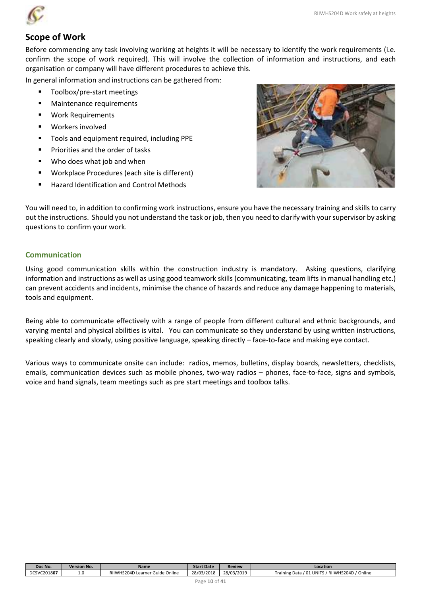

### **Scope of Work**

Before commencing any task involving working at heights it will be necessary to identify the work requirements (i.e. confirm the scope of work required). This will involve the collection of information and instructions, and each organisation or company will have different procedures to achieve this.

In general information and instructions can be gathered from:

- Toolbox/pre-start meetings
- Maintenance requirements
- Work Requirements
- **Workers involved**
- **Tools and equipment required, including PPE**
- **Priorities and the order of tasks**
- Who does what job and when
- Workplace Procedures (each site is different)
- Hazard Identification and Control Methods



You will need to, in addition to confirming work instructions, ensure you have the necessary training and skills to carry out the instructions. Should you not understand the task or job, then you need to clarify with your supervisor by asking questions to confirm your work.

### **Communication**

Using good communication skills within the construction industry is mandatory. Asking questions, clarifying information and instructions as well as using good teamwork skills (communicating, team lifts in manual handling etc.) can prevent accidents and incidents, minimise the chance of hazards and reduce any damage happening to materials, tools and equipment.

Being able to communicate effectively with a range of people from different cultural and ethnic backgrounds, and varying mental and physical abilities is vital. You can communicate so they understand by using written instructions, speaking clearly and slowly, using positive language, speaking directly – face-to-face and making eye contact.

Various ways to communicate onsite can include: radios, memos, bulletins, display boards, newsletters, checklists, emails, communication devices such as mobile phones, two-way radios – phones, face-to-face, signs and symbols, voice and hand signals, team meetings such as pre start meetings and toolbox talks.

| Doc No.     | <b>Version No.</b> | <b>Name</b>                                           | <b>Start Date</b> | Review     | Location                                                                           |
|-------------|--------------------|-------------------------------------------------------|-------------------|------------|------------------------------------------------------------------------------------|
| DCSVC201807 | <b>L.U</b>         | RIIWHS204D<br>Online<br>Guide<br>Learner (<br>732U4D. | 28/03/2018        | 28/03/2019 | Online<br>RIIWHS204D<br>UNITS<br>$\sim$ 0.4<br>Tenin.<br>Data<br>$\cdots$<br>l dil |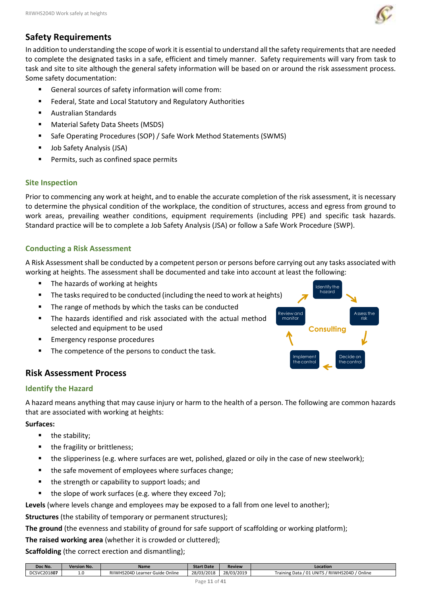

# **Safety Requirements**

In addition to understanding the scope of work it is essential to understand all the safety requirements that are needed to complete the designated tasks in a safe, efficient and timely manner. Safety requirements will vary from task to task and site to site although the general safety information will be based on or around the risk assessment process. Some safety documentation:

- General sources of safety information will come from:
- **Federal, State and Local Statutory and Regulatory Authorities**
- Australian Standards
- Material Safety Data Sheets (MSDS)
- **Safe Operating Procedures (SOP) / Safe Work Method Statements (SWMS)**
- **UPIE:** Job Safety Analysis (JSA)
- **Permits, such as confined space permits**

### **Site Inspection**

Prior to commencing any work at height, and to enable the accurate completion of the risk assessment, it is necessary to determine the physical condition of the workplace, the condition of structures, access and egress from ground to work areas, prevailing weather conditions, equipment requirements (including PPE) and specific task hazards. Standard practice will be to complete a Job Safety Analysis (JSA) or follow a Safe Work Procedure (SWP).

### **Conducting a Risk Assessment**

A Risk Assessment shall be conducted by a competent person or persons before carrying out any tasks associated with working at heights. The assessment shall be documented and take into account at least the following:

- **The hazards of working at heights**
- The tasks required to be conducted (including the need to work at heights)
- The range of methods by which the tasks can be conducted
- The hazards identified and risk associated with the actual method selected and equipment to be used
- Emergency response procedures
- The competence of the persons to conduct the task.

# **Risk Assessment Process**

### **Identify the Hazard**

A hazard means anything that may cause injury or harm to the health of a person. The following are common hazards that are associated with working at heights:

### **Surfaces:**

- $\blacksquare$  the stability;
- the fragility or brittleness;
- the slipperiness (e.g. where surfaces are wet, polished, glazed or oily in the case of new steelwork);
- the safe movement of employees where surfaces change:
- **the strength or capability to support loads; and**
- the slope of work surfaces (e.g. where they exceed 7o);

**Levels** (where levels change and employees may be exposed to a fall from one level to another);

**Structures** (the stability of temporary or permanent structures);

**The ground** (the evenness and stability of ground for safe support of scaffolding or working platform);

**The raised working area** (whether it is crowded or cluttered);

**Scaffolding** (the correct erection and dismantling);

| Doc No.     | <b>Version No.</b> | <b>Name</b>                                       | <b>Start Date</b> | <b>Review</b> | Location                                               |
|-------------|--------------------|---------------------------------------------------|-------------------|---------------|--------------------------------------------------------|
| DCSVC201807 | <b>TM</b>          | Online<br><b>IS204D Learner</b><br>RIIWH<br>Guide | 28/03/2018        | 28/03/2019    | d Online<br>RIIWHS204D<br>01 UNITS<br>Data<br>[raining |

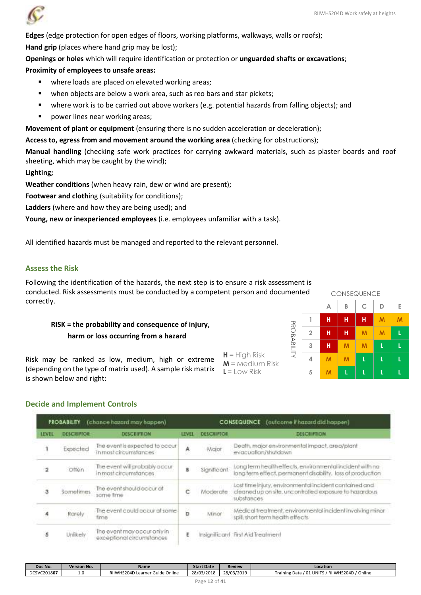

**Edges** (edge protection for open edges of floors, working platforms, walkways, walls or roofs); **Hand grip** (places where hand grip may be lost);

**Openings or holes** which will require identification or protection or **unguarded shafts or excavations**;

#### **Proximity of employees to unsafe areas:**

- **where loads are placed on elevated working areas;**
- when objects are below a work area, such as reo bars and star pickets;
- where work is to be carried out above workers (e.g. potential hazards from falling objects); and
- **Proming areas:** power lines near working areas;

**Movement of plant or equipment** (ensuring there is no sudden acceleration or deceleration);

**Access to, egress from and movement around the working area** (checking for obstructions);

**Manual handling** (checking safe work practices for carrying awkward materials, such as plaster boards and roof sheeting, which may be caught by the wind);

**Lighting;** 

**Weather conditions** (when heavy rain, dew or wind are present);

**Footwear and cloth**ing (suitability for conditions);

**Ladders** (where and how they are being used); and

**Young, new or inexperienced employees** (i.e. employees unfamiliar with a task).

All identified hazards must be managed and reported to the relevant personnel.

### **Assess the Risk**

Following the identification of the hazards, the next step is to ensure a risk assessment is conducted. Risk assessments must be conducted by a competent person and documented correctly.

### **RISK = the probability and consequence of injury, harm or loss occurring from a hazard**

Risk may be ranked as low, medium, high or extreme (depending on the type of matrix used). A sample risk matrix is shown below and right:

**H** = High Risk **M** = Medium Risk **L** = Low Risk

PROBABILITY

**PROBABILIT** 



#### **Decide and Implement Controls**

| <b>LEVEL</b>            | <b>DESCRIPTOR</b> | <b>DESCRIPTION</b>                                       | <b>LEVEL</b> | <b>DESCRIPTION</b> | <b>DEECRIPTION</b>                                                                                                             |
|-------------------------|-------------------|----------------------------------------------------------|--------------|--------------------|--------------------------------------------------------------------------------------------------------------------------------|
|                         | Expected          | The event is expected to occur<br>in most circumstances  | A            | Major              | Death, major environmental impact, area/plant<br>evacuation/shutdown                                                           |
| $\overline{\mathbf{2}}$ | <b>Offen</b>      | The event will probably occur<br>in most circumstances.  | B.           | Significant        | Long term health effects, environmental incident with no<br>long term effect, permanent disability, loss of production         |
| з                       | Sometimes         | The event should occur at<br>some fime                   | ċ            | Moderate:          | Lost time injury, environmental incident contained and<br>cleaned up on site, uncontrolled exposure to hazardous<br>substances |
| 4                       | Rarely            | The event could accur at some<br>time                    | b            | Minor              | Medical treatment, environmental incident involving minor<br>spill; short term health effects.                                 |
| ś                       | Unikely           | The event may accur only in<br>exceptional circumstances | ε            |                    | Insignificant first Aid Treatment                                                                                              |

| Doc No.     | <b>Version No.</b> | <b>Name</b>                          | <b>Start Date</b> | <b>Review</b> | Location                                                  |  |  |  |
|-------------|--------------------|--------------------------------------|-------------------|---------------|-----------------------------------------------------------|--|--|--|
| DCSVC201807 |                    | RIIWHS204D L<br>Learner Guide Online | 28/03/2018        | 28/03/2019    | d Online<br>/ RIIWHS204D<br>' 01 UNITS<br>Training Data / |  |  |  |
| Page<br>-14 |                    |                                      |                   |               |                                                           |  |  |  |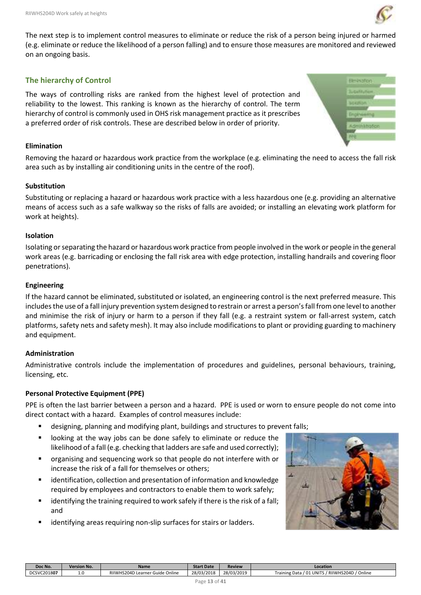

**Binimation Terrent furtier** 

The next step is to implement control measures to eliminate or reduce the risk of a person being injured or harmed (e.g. eliminate or reduce the likelihood of a person falling) and to ensure those measures are monitored and reviewed on an ongoing basis.

### **The hierarchy of Control**

The ways of controlling risks are ranked from the highest level of protection and reliability to the lowest. This ranking is known as the hierarchy of control. The term hierarchy of control is commonly used in OHS risk management practice as it prescribes a preferred order of risk controls. These are described below in order of priority.

### **Elimination**

Removing the hazard or hazardous work practice from the workplace (e.g. eliminating the need to access the fall risk area such as by installing air conditioning units in the centre of the roof).

### **Substitution**

Substituting or replacing a hazard or hazardous work practice with a less hazardous one (e.g. providing an alternative means of access such as a safe walkway so the risks of falls are avoided; or installing an elevating work platform for work at heights).

### **Isolation**

Isolating or separating the hazard or hazardous work practice from people involved in the work or people in the general work areas (e.g. barricading or enclosing the fall risk area with edge protection, installing handrails and covering floor penetrations).

### **Engineering**

If the hazard cannot be eliminated, substituted or isolated, an engineering control is the next preferred measure. This includes the use of a fall injury prevention system designed to restrain or arrest a person's fall from one level to another and minimise the risk of injury or harm to a person if they fall (e.g. a restraint system or fall-arrest system, catch platforms, safety nets and safety mesh). It may also include modifications to plant or providing guarding to machinery and equipment.

### **Administration**

Administrative controls include the implementation of procedures and guidelines, personal behaviours, training, licensing, etc.

#### **Personal Protective Equipment (PPE)**

PPE is often the last barrier between a person and a hazard. PPE is used or worn to ensure people do not come into direct contact with a hazard. Examples of control measures include:

- designing, planning and modifying plant, buildings and structures to prevent falls;
- **If** looking at the way jobs can be done safely to eliminate or reduce the likelihood of a fall (e.g. checking that ladders are safe and used correctly);
- organising and sequencing work so that people do not interfere with or increase the risk of a fall for themselves or others;
- identification, collection and presentation of information and knowledge required by employees and contractors to enable them to work safely;
- identifying the training required to work safely if there is the risk of a fall; and
- identifying areas requiring non-slip surfaces for stairs or ladders.



| Doc No.     | <b>Version No.</b> | <b>Name</b>                        | <b>Start Date</b> | <b>Review</b> | Location                                                         |
|-------------|--------------------|------------------------------------|-------------------|---------------|------------------------------------------------------------------|
| DCSVC201807 | <b>L.U</b>         | RIIWHS204D Learner Guide<br>Online | 28/03/2018        | 28/03/2019    | / RIIWHS204D<br>' Online<br>/ 01 UNITS /<br><b>Training Data</b> |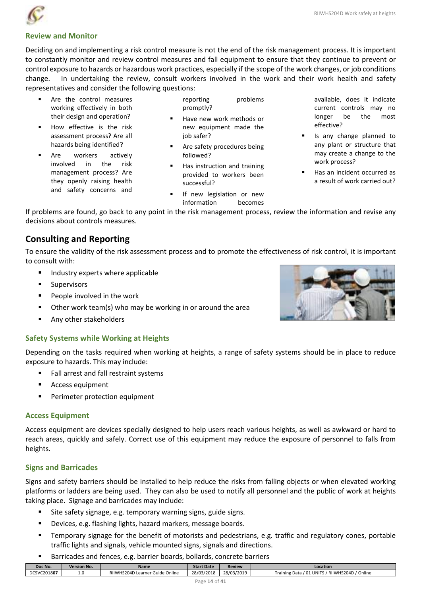### **Review and Monitor**

Deciding on and implementing a risk control measure is not the end of the risk management process. It is important to constantly monitor and review control measures and fall equipment to ensure that they continue to prevent or control exposure to hazards or hazardous work practices, especially if the scope of the work changes, or job conditions change. In undertaking the review, consult workers involved in the work and their work health and safety representatives and consider the following questions:

- Are the control measures working effectively in both their design and operation?
- How effective is the risk assessment process? Are all hazards being identified?
- Are workers actively involved in the risk management process? Are they openly raising health and safety concerns and

reporting problems promptly?

- Have new work methods or new equipment made the job safer?
- Are safety procedures being followed?
- Has instruction and training provided to workers been successful?
- If new legislation or new information becomes

available, does it indicate current controls may no longer be the most effective?

- Is any change planned to any plant or structure that may create a change to the work process?
- Has an incident occurred as a result of work carried out?

If problems are found, go back to any point in the risk management process, review the information and revise any decisions about controls measures.

# **Consulting and Reporting**

To ensure the validity of the risk assessment process and to promote the effectiveness of risk control, it is important to consult with:

- **Industry experts where applicable**
- **Supervisors**
- People involved in the work
- Other work team(s) who may be working in or around the area
- **Any other stakeholders**

### **Safety Systems while Working at Heights**

Depending on the tasks required when working at heights, a range of safety systems should be in place to reduce exposure to hazards. This may include:

- Fall arrest and fall restraint systems
- **Access equipment**
- Perimeter protection equipment

### **Access Equipment**

Access equipment are devices specially designed to help users reach various heights, as well as awkward or hard to reach areas, quickly and safely. Correct use of this equipment may reduce the exposure of personnel to falls from heights.

#### **Signs and Barricades**

Signs and safety barriers should be installed to help reduce the risks from falling objects or when elevated working platforms or ladders are being used. They can also be used to notify all personnel and the public of work at heights taking place. Signage and barricades may include:

- Site safety signage, e.g. temporary warning signs, guide signs.
- **Devices, e.g. flashing lights, hazard markers, message boards.**
- Temporary signage for the benefit of motorists and pedestrians, e.g. traffic and regulatory cones, portable traffic lights and signals, vehicle mounted signs, signals and directions.
- Barricades and fences, e.g. barrier boards, bollards, concrete barriers

| Doc No.       | <b>Version No.</b> | <b>Name</b>                     | <b>Start Date</b> | <b>Review</b> | Location                                       |  |  |
|---------------|--------------------|---------------------------------|-------------------|---------------|------------------------------------------------|--|--|
| DCSVC201807   | 1.0                | RIIWHS204D Learner Guide Online | 28/03/2018        | 28/03/2019    | Training Data / 01 UNITS / RIIWHS204D / Online |  |  |
| Page 14 of 41 |                    |                                 |                   |               |                                                |  |  |



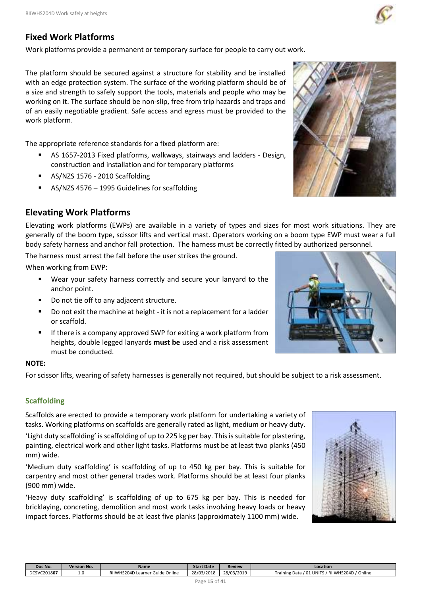

# **Fixed Work Platforms**

Work platforms provide a permanent or temporary surface for people to carry out work.

The platform should be secured against a structure for stability and be installed with an edge protection system. The surface of the working platform should be of a size and strength to safely support the tools, materials and people who may be working on it. The surface should be non-slip, free from trip hazards and traps and of an easily negotiable gradient. Safe access and egress must be provided to the work platform.

The appropriate reference standards for a fixed platform are:

- AS 1657-2013 Fixed platforms, walkways, stairways and ladders Design, construction and installation and for temporary platforms
- AS/NZS 1576 2010 Scaffolding
- AS/NZS 4576 1995 Guidelines for scaffolding

# **Elevating Work Platforms**

Elevating work platforms (EWPs) are available in a variety of types and sizes for most work situations. They are generally of the boom type, scissor lifts and vertical mast. Operators working on a boom type EWP must wear a full body safety harness and anchor fall protection. The harness must be correctly fitted by authorized personnel.

The harness must arrest the fall before the user strikes the ground.

When working from EWP:

- Wear your safety harness correctly and secure your lanyard to the anchor point.
- Do not tie off to any adjacent structure.
- Do not exit the machine at height it is not a replacement for a ladder or scaffold.
- If there is a company approved SWP for heights, double legged lanyards must b must be conducted.

### **NOTE:**

For scissor lifts, wearing of safety harnesses is g

### **Scaffolding**

Scaffolds are erected to provide a temporary work platform for undertaking a variety of tasks. Working platforms on scaffolds are generally rated as light, medium or heavy duty.

'Light duty scaffolding' is scaffolding of up to 225 kg per bay. This is suitable for plastering, painting, electrical work and other light tasks. Platforms must be at least two planks (450 mm) wide.

'Medium duty scaffolding' is scaffolding of up to 450 kg per bay. This is suitable for carpentry and most other general trades work. Platforms should be at least four planks (900 mm) wide.

'Heavy duty scaffolding' is scaffolding of up to 675 kg per bay. This is needed for bricklaying, concreting, demolition and most work tasks involving heavy loads or heavy impact forces. Platforms should be at least five planks (approximately 1100 mm) wide.



| exiting a work platform from<br>e used and a risk assessment |                                                                    |  |
|--------------------------------------------------------------|--------------------------------------------------------------------|--|
|                                                              | enerally not required, but should be subject to a risk assessment. |  |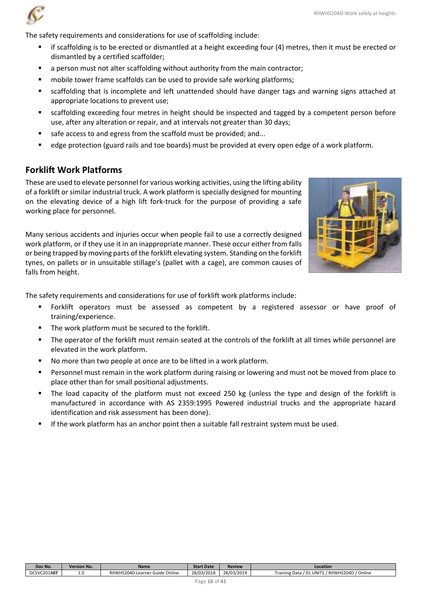

The safety requirements and considerations for use of scaffolding include:

- if scaffolding is to be erected or dismantled at a height exceeding four (4) metres, then it must be erected or dismantled by a certified scaffolder;
- **•** a person must not alter scaffolding without authority from the main contractor;
- **numbile tower frame scaffolds can be used to provide safe working platforms;**
- scaffolding that is incomplete and left unattended should have danger tags and warning signs attached at appropriate locations to prevent use;
- scaffolding exceeding four metres in height should be inspected and tagged by a competent person before use, after any alteration or repair, and at intervals not greater than 30 days;
- safe access to and egress from the scaffold must be provided; and...
- edge protection (guard rails and toe boards) must be provided at every open edge of a work platform.

# **Forklift Work Platforms**

These are used to elevate personnel for various working activities, using the lifting ability of a forklift or similar industrial truck. A work platform is specially designed for mounting on the elevating device of a high lift fork-truck for the purpose of providing a safe working place for personnel.

Many serious accidents and injuries occur when people fail to use a correctly designed work platform, or if they use it in an inappropriate manner. These occur either from falls or being trapped by moving parts of the forklift elevating system. Standing on the forklift tynes, on pallets or in unsuitable stillage's (pallet with a cage), are common causes of falls from height.



The safety requirements and considerations for use of forklift work platforms include:

- Forklift operators must be assessed as competent by a registered assessor or have proof of training/experience.
- The work platform must be secured to the forklift.
- The operator of the forklift must remain seated at the controls of the forklift at all times while personnel are elevated in the work platform.
- No more than two people at once are to be lifted in a work platform.
- **Personnel must remain in the work platform during raising or lowering and must not be moved from place to** place other than for small positional adjustments.
- The load capacity of the platform must not exceed 250 kg (unless the type and design of the forklift is manufactured in accordance with AS 2359:1995 Powered industrial trucks and the appropriate hazard identification and risk assessment has been done).
- If the work platform has an anchor point then a suitable fall restraint system must be used.

| Doc No.     | <b>Version No.</b> | <b>Name</b>                             | <b>Start Date</b> | Review     | Location                                                                                                  |
|-------------|--------------------|-----------------------------------------|-------------------|------------|-----------------------------------------------------------------------------------------------------------|
| DCSVC201807 | ∸                  | RIIWHS204D Learner G<br>Online<br>Guide | 28/03/2018        | 28/03/2019 | / RIIWHS204D<br>Online<br>UNIT <sup>o</sup><br>. n-<br><b>Fraining</b><br>Data<br>ـ ن '<br>$\overline{a}$ |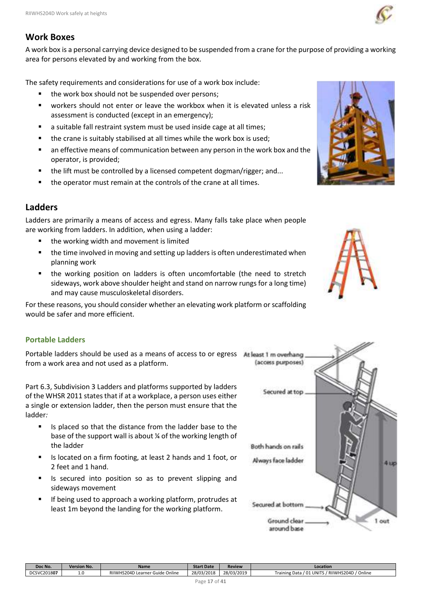# **Work Boxes**

A work box is a personal carrying device designed to be suspended from a crane for the purpose of providing a working area for persons elevated by and working from the box.

The safety requirements and considerations for use of a work box include:

- the work box should not be suspended over persons;
- workers should not enter or leave the workbox when it is elevated unless a risk assessment is conducted (except in an emergency);
- a suitable fall restraint system must be used inside cage at all times;
- **the crane is suitably stabilised at all times while the work box is used;**
- **a** an effective means of communication between any person in the work box and the operator, is provided;
- the lift must be controlled by a licensed competent dogman/rigger; and...
- the operator must remain at the controls of the crane at all times.

# **Ladders**

Ladders are primarily a means of access and egress. Many falls take place when people are working from ladders. In addition, when using a ladder:

- the working width and movement is limited
- the time involved in moving and setting up ladders is often underestimated when planning work
- the working position on ladders is often uncomfortable (the need to stretch sideways, work above shoulder height and stand on narrow rungs for a long time) and may cause musculoskeletal disorders.

For these reasons, you should consider whether an elevating work platform or scaffolding would be safer and more efficient.

### **Portable Ladders**

Portable ladders should be used as a means of access to or egress At least 1 m overhang from a work area and not used as a platform.

Part 6.3, Subdivision 3 Ladders and platforms supported by ladders of the WHSR 2011 states that if at a workplace, a person uses either a single or extension ladder, then the person must ensure that the ladder*:* 

- Is placed so that the distance from the ladder base to the base of the support wall is about ¼ of the working length of the ladder
- Is located on a firm footing, at least 2 hands and 1 foot, or 2 feet and 1 hand.
- Is secured into position so as to prevent slipping and sideways movement
- If being used to approach a working platform, protrudes at least 1m beyond the landing for the working platform.







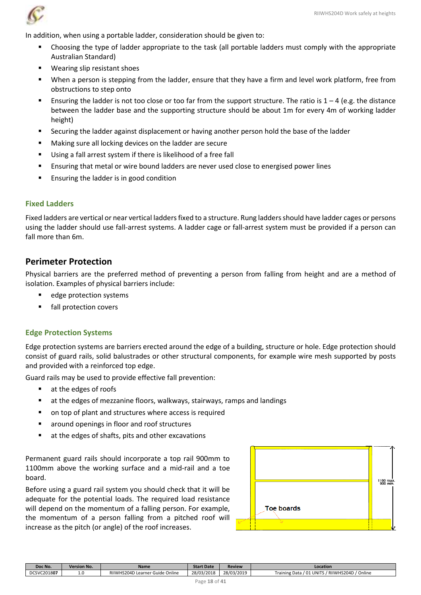

In addition, when using a portable ladder, consideration should be given to:

- Choosing the type of ladder appropriate to the task (all portable ladders must comply with the appropriate Australian Standard)
- Wearing slip resistant shoes
- When a person is stepping from the ladder, ensure that they have a firm and level work platform, free from obstructions to step onto
- Ensuring the ladder is not too close or too far from the support structure. The ratio is  $1 4$  (e.g. the distance between the ladder base and the supporting structure should be about 1m for every 4m of working ladder height)
- Securing the ladder against displacement or having another person hold the base of the ladder
- Making sure all locking devices on the ladder are secure
- Using a fall arrest system if there is likelihood of a free fall
- Ensuring that metal or wire bound ladders are never used close to energised power lines
- Ensuring the ladder is in good condition

### **Fixed Ladders**

Fixed ladders are vertical or near vertical ladders fixed to a structure. Rung ladders should have ladder cages or persons using the ladder should use fall-arrest systems. A ladder cage or fall-arrest system must be provided if a person can fall more than 6m.

### **Perimeter Protection**

Physical barriers are the preferred method of preventing a person from falling from height and are a method of isolation. Examples of physical barriers include:

- edge protection systems
- **F** fall protection covers

### **Edge Protection Systems**

Edge protection systems are barriers erected around the edge of a building, structure or hole. Edge protection should consist of guard rails, solid balustrades or other structural components, for example wire mesh supported by posts and provided with a reinforced top edge.

Guard rails may be used to provide effective fall prevention:

- at the edges of roofs
- at the edges of mezzanine floors, walkways, stairways, ramps and landings
- on top of plant and structures where access is required
- **F** around openings in floor and roof structures
- **a** at the edges of shafts, pits and other excavations

Permanent guard rails should incorporate a top rail 900mm to 1100mm above the working surface and a mid-rail and a toe board.

Before using a guard rail system you should check that it will be adequate for the potential loads. The required load resistance will depend on the momentum of a falling person. For example, the momentum of a person falling from a pitched roof will increase as the pitch (or angle) of the roof increases.



| (0.1) | Doc No.     | <b>Version No.</b> | <b>Name</b>                              | <b>Start Date</b> | <b>Review</b> | Location                                                      |
|-------|-------------|--------------------|------------------------------------------|-------------------|---------------|---------------------------------------------------------------|
|       | DCSVC201807 | <b>L.U</b>         | RIIWHS204D Le<br>Guide Online<br>Learner | 28/03/2018        | 28/03/2019    | RIIWHS204D<br>01 UNITS<br>' Online<br>Data<br><b>Training</b> |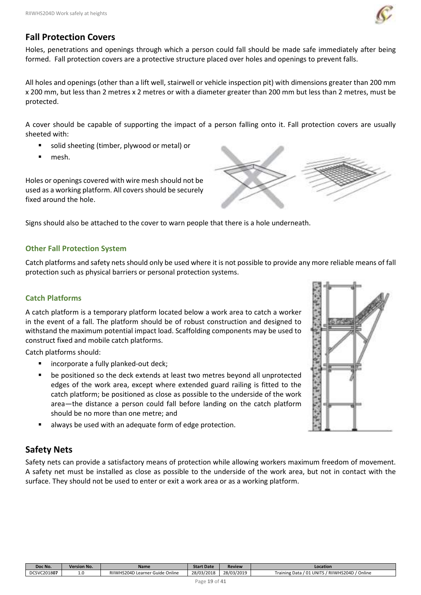

### **Fall Protection Covers**

Holes, penetrations and openings through which a person could fall should be made safe immediately after being formed. Fall protection covers are a protective structure placed over holes and openings to prevent falls.

All holes and openings (other than a lift well, stairwell or vehicle inspection pit) with dimensions greater than 200 mm x 200 mm, but less than 2 metres x 2 metres or with a diameter greater than 200 mm but less than 2 metres, must be protected.

A cover should be capable of supporting the impact of a person falling onto it. Fall protection covers are usually sheeted with:

- solid sheeting (timber, plywood or metal) or
- mesh.

Holes or openings covered with wire mesh should not be used as a working platform. All covers should be securely fixed around the hole.

Signs should also be attached to the cover to warn people that there is a hole underneath.

### **Other Fall Protection System**

Catch platforms and safety nets should only be used where it is not possible to provide any more reliable means of fall protection such as physical barriers or personal protection systems.

### **Catch Platforms**

A catch platform is a temporary platform located below a work area to catch a worker in the event of a fall. The platform should be of robust construction and designed to withstand the maximum potential impact load. Scaffolding components may be used to construct fixed and mobile catch platforms.

Catch platforms should:

- incorporate a fully planked-out deck;
- be positioned so the deck extends at least two metres beyond all unprotected edges of the work area, except where extended guard railing is fitted to the catch platform; be positioned as close as possible to the underside of the work area—the distance a person could fall before landing on the catch platform should be no more than one metre; and
- always be used with an adequate form of edge protection.

# **Safety Nets**

Safety nets can provide a satisfactory means of protection while allowing workers maximum freedom of movement. A safety net must be installed as close as possible to the underside of the work area, but not in contact with the surface. They should not be used to enter or exit a work area or as a working platform.

| Doc No.     | <b>Version No.</b> | Name                            | <b>Start Date</b> | Review     | Location                                                        |
|-------------|--------------------|---------------------------------|-------------------|------------|-----------------------------------------------------------------|
| DCSVC201807 | ∸∙<br>$\sim$       | RIIWHS204D Learner Guide Online | 28/03/2018        | 28/03/2019 | RIIWHS204D<br>/ Online<br><b>J1 UNITS</b><br>Training Data<br>. |

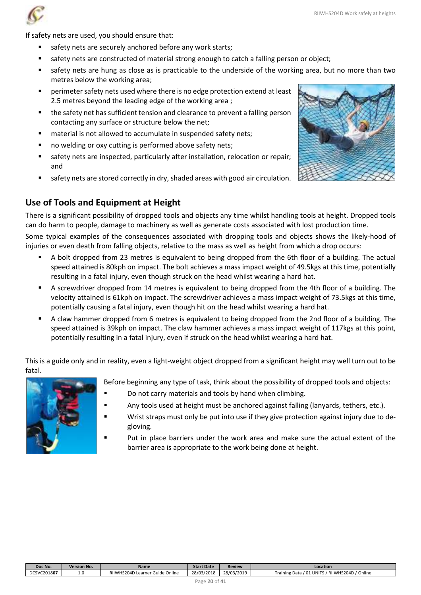

If safety nets are used, you should ensure that:

- safety nets are securely anchored before any work starts;
- safety nets are constructed of material strong enough to catch a falling person or object;
- safety nets are hung as close as is practicable to the underside of the working area, but no more than two metres below the working area;
- perimeter safety nets used where there is no edge protection extend at least 2.5 metres beyond the leading edge of the working area ;
- the safety net has sufficient tension and clearance to prevent a falling person contacting any surface or structure below the net;
- material is not allowed to accumulate in suspended safety nets;
- no welding or oxy cutting is performed above safety nets;
- safety nets are inspected, particularly after installation, relocation or repair; and
- safety nets are stored correctly in dry, shaded areas with good air circulation.



### **Use of Tools and Equipment at Height**

There is a significant possibility of dropped tools and objects any time whilst handling tools at height. Dropped tools can do harm to people, damage to machinery as well as generate costs associated with lost production time.

Some typical examples of the consequences associated with dropping tools and objects shows the likely-hood of injuries or even death from falling objects, relative to the mass as well as height from which a drop occurs:

- A bolt dropped from 23 metres is equivalent to being dropped from the 6th floor of a building. The actual speed attained is 80kph on impact. The bolt achieves a mass impact weight of 49.5kgs at this time, potentially resulting in a fatal injury, even though struck on the head whilst wearing a hard hat.
- A screwdriver dropped from 14 metres is equivalent to being dropped from the 4th floor of a building. The velocity attained is 61kph on impact. The screwdriver achieves a mass impact weight of 73.5kgs at this time, potentially causing a fatal injury, even though hit on the head whilst wearing a hard hat.
- A claw hammer dropped from 6 metres is equivalent to being dropped from the 2nd floor of a building. The speed attained is 39kph on impact. The claw hammer achieves a mass impact weight of 117kgs at this point, potentially resulting in a fatal injury, even if struck on the head whilst wearing a hard hat.

This is a guide only and in reality, even a light-weight object dropped from a significant height may well turn out to be fatal.



- Before beginning any type of task, think about the possibility of dropped tools and objects:
- **Do not carry materials and tools by hand when climbing.**
- Any tools used at height must be anchored against falling (lanyards, tethers, etc.).
- Wrist straps must only be put into use if they give protection against injury due to de gloving.
- Put in place barriers under the work area and make sure the actual extent of the barrier area is appropriate to the work being done at height.

| Doc No.     | <b>Version No.</b> | Name                                    | <b>Start Date</b> | <b>Review</b> | Location                                                         |
|-------------|--------------------|-----------------------------------------|-------------------|---------------|------------------------------------------------------------------|
| DCSVC201807 |                    | Online<br>RIIWHS204D Learner G<br>Guide | 28/03/2018        | 28/03/2019    | ' Online<br>Training L<br>/ RIIWHS204D<br>UNITS<br>∕ ^ `<br>Data |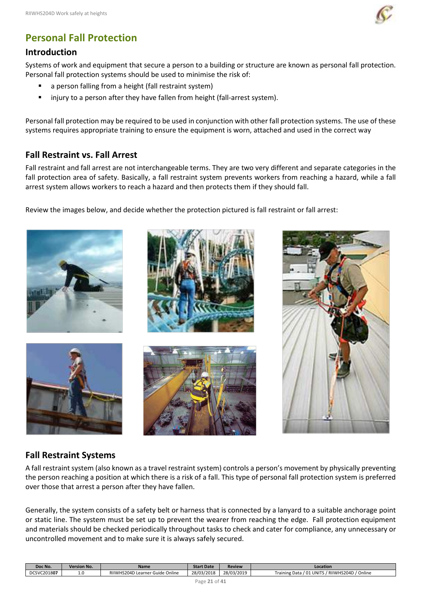

# **Personal Fall Protection**

# **Introduction**

Systems of work and equipment that secure a person to a building or structure are known as personal fall protection. Personal fall protection systems should be used to minimise the risk of:

- a person falling from a height (fall restraint system)
- injury to a person after they have fallen from height (fall-arrest system).

Personal fall protection may be required to be used in conjunction with other fall protection systems. The use of these systems requires appropriate training to ensure the equipment is worn, attached and used in the correct way

# **Fall Restraint vs. Fall Arrest**

Fall restraint and fall arrest are not interchangeable terms. They are two very different and separate categories in the fall protection area of safety. Basically, a fall restraint system prevents workers from reaching a hazard, while a fall arrest system allows workers to reach a hazard and then protects them if they should fall.

Review the images below, and decide whether the protection pictured is fall restraint or fall arrest:





# **Fall Restraint Systems**

A fall restraint system (also known as a travel restraint system) controls a person's movement by physically preventing the person reaching a position at which there is a risk of a fall. This type of personal fall protection system is preferred over those that arrest a person after they have fallen.

Generally, the system consists of a safety belt or harness that is connected by a lanyard to a suitable anchorage point or static line. The system must be set up to prevent the wearer from reaching the edge. Fall protection equipment and materials should be checked periodically throughout tasks to check and cater for compliance, any unnecessary or uncontrolled movement and to make sure it is always safely secured.

| Doc No.     | <b>Version No.</b> | <b>Name</b>                                         | <b>Start Date</b> | <b>Review</b> | Location                                                   |
|-------------|--------------------|-----------------------------------------------------|-------------------|---------------|------------------------------------------------------------|
| DCSVC201807 | ⊥∙∪                | Online<br>RIIWHS204D<br>Guide<br>. Learner <b>1</b> | 28/03/2018        | 28/03/2019    | RIIWHS204D<br>' Online<br>01 UNIT!<br><b>Training Data</b> |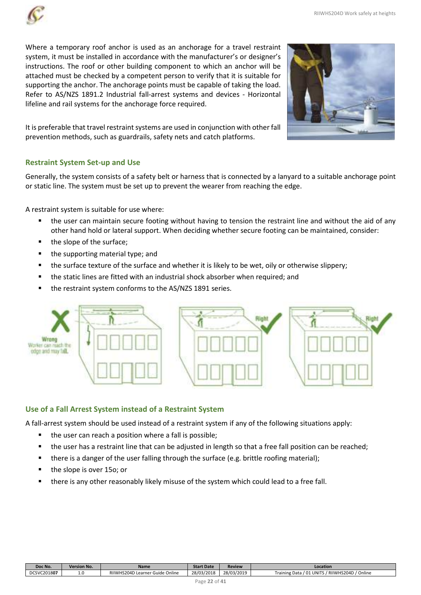Where a temporary roof anchor is used as an anchorage for a travel restraint system, it must be installed in accordance with the manufacturer's or designer's instructions. The roof or other building component to which an anchor will be attached must be checked by a competent person to verify that it is suitable for supporting the anchor. The anchorage points must be capable of taking the load. Refer to AS/NZS 1891.2 Industrial fall-arrest systems and devices - Horizontal lifeline and rail systems for the anchorage force required.



It is preferable that travel restraint systems are used in conjunction with other fall prevention methods, such as guardrails, safety nets and catch platforms.

### **Restraint System Set-up and Use**

Generally, the system consists of a safety belt or harness that is connected by a lanyard to a suitable anchorage point or static line. The system must be set up to prevent the wearer from reaching the edge.

A restraint system is suitable for use where:

- the user can maintain secure footing without having to tension the restraint line and without the aid of any other hand hold or lateral support. When deciding whether secure footing can be maintained, consider:
- the slope of the surface;
- the supporting material type; and
- the surface texture of the surface and whether it is likely to be wet, oily or otherwise slippery;
- the static lines are fitted with an industrial shock absorber when required; and
- the restraint system conforms to the AS/NZS 1891 series.



### **Use of a Fall Arrest System instead of a Restraint System**

A fall-arrest system should be used instead of a restraint system if any of the following situations apply:

- the user can reach a position where a fall is possible;
- the user has a restraint line that can be adjusted in length so that a free fall position can be reached;
- there is a danger of the user falling through the surface (e.g. brittle roofing material);
- the slope is over 15o; or
- there is any other reasonably likely misuse of the system which could lead to a free fall.

| Doc No.     | <b>Version No.</b> | <b>Name</b>                        | <b>Start Date</b> | <b>Review</b> | Location                                                  |
|-------------|--------------------|------------------------------------|-------------------|---------------|-----------------------------------------------------------|
| DCSVC201807 | <b>L.U</b>         | Online<br>RIIWHS204D Learner Guide | 28/03/2018        | 28/03/2019    | ' Online<br>/ 01 UNITS<br>/ RIIWHS204D<br>Training Data / |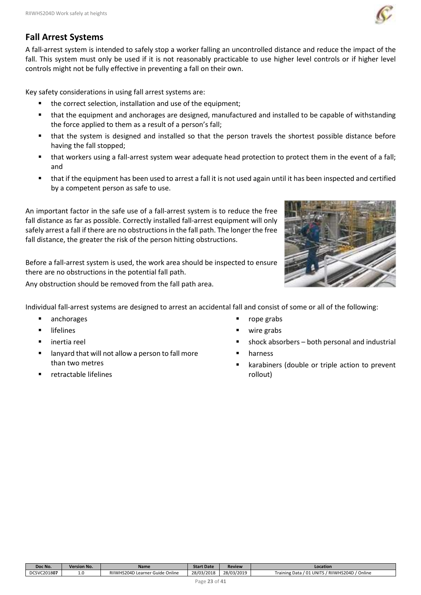# **Fall Arrest Systems**

A fall-arrest system is intended to safely stop a worker falling an uncontrolled distance and reduce the impact of the fall. This system must only be used if it is not reasonably practicable to use higher level controls or if higher level controls might not be fully effective in preventing a fall on their own.

Key safety considerations in using fall arrest systems are:

- the correct selection, installation and use of the equipment;
- that the equipment and anchorages are designed, manufactured and installed to be capable of withstanding the force applied to them as a result of a person's fall;
- that the system is designed and installed so that the person travels the shortest possible distance before having the fall stopped;
- that workers using a fall-arrest system wear adequate head protection to protect them in the event of a fall; and
- that if the equipment has been used to arrest a fall it is not used again until it has been inspected and certified by a competent person as safe to use.

An important factor in the safe use of a fall-arrest system is to reduce the free fall distance as far as possible. Correctly installed fall-arrest equipment will only safely arrest a fall if there are no obstructions in the fall path. The longer the free fall distance, the greater the risk of the person hitting obstructions.

Before a fall-arrest system is used, the work area should be inspected to ensure there are no obstructions in the potential fall path.

Any obstruction should be removed from the fall path area.

Individual fall-arrest systems are designed to arrest an accidental fall and consist of some or all of the following:

- **anchorages**
- **I** lifelines
- inertia reel
- lanyard that will not allow a person to fall more than two metres
- retractable lifelines
- rope grabs
- wire grabs
- shock absorbers both personal and industrial
- harness
- karabiners (double or triple action to prevent rollout)

**Doc No. | Version No. | Name Name Start Date | Review | Start Date | Review | Start Date | Review | Name Start D** DCSVC2018**07** 1.0 RIIWHS204D Learner Guide Online 28/03/2018 28/03/2019 Training Data / 01 UNITS / RIIWHS204D / Online

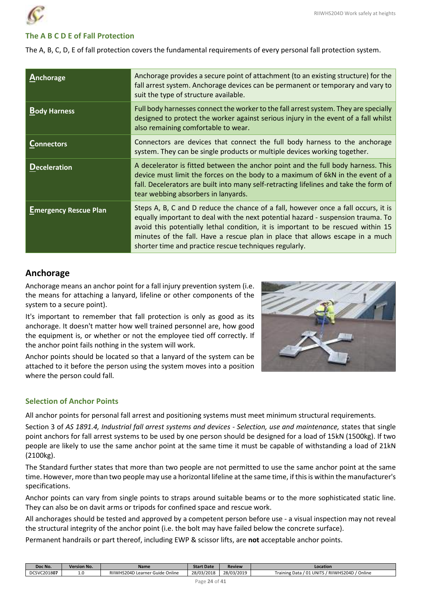

### **The A B C D E of Fall Protection**

|  |  |  | The A, B, C, D, E of fall protection covers the fundamental requirements of every personal fall protection system. |  |  |
|--|--|--|--------------------------------------------------------------------------------------------------------------------|--|--|
|  |  |  |                                                                                                                    |  |  |

| Anchorage                    | Anchorage provides a secure point of attachment (to an existing structure) for the<br>fall arrest system. Anchorage devices can be permanent or temporary and vary to<br>suit the type of structure available.                                                                                                                                                                                        |
|------------------------------|-------------------------------------------------------------------------------------------------------------------------------------------------------------------------------------------------------------------------------------------------------------------------------------------------------------------------------------------------------------------------------------------------------|
| <b>Body Harness</b>          | Full body harnesses connect the worker to the fall arrest system. They are specially<br>designed to protect the worker against serious injury in the event of a fall whilst<br>also remaining comfortable to wear.                                                                                                                                                                                    |
| <b>Connectors</b>            | Connectors are devices that connect the full body harness to the anchorage<br>system. They can be single products or multiple devices working together.                                                                                                                                                                                                                                               |
| <b>Deceleration</b>          | A decelerator is fitted between the anchor point and the full body harness. This<br>device must limit the forces on the body to a maximum of 6kN in the event of a<br>fall. Decelerators are built into many self-retracting lifelines and take the form of<br>tear webbing absorbers in lanyards.                                                                                                    |
| <b>Emergency Rescue Plan</b> | Steps A, B, C and D reduce the chance of a fall, however once a fall occurs, it is<br>equally important to deal with the next potential hazard - suspension trauma. To<br>avoid this potentially lethal condition, it is important to be rescued within 15<br>minutes of the fall. Have a rescue plan in place that allows escape in a much<br>shorter time and practice rescue techniques regularly. |

# **Anchorage**

Anchorage means an anchor point for a fall injury prevention system (i.e. the means for attaching a lanyard, lifeline or other components of the system to a secure point).

It's important to remember that fall protection is only as good as its anchorage. It doesn't matter how well trained personnel are, how good the equipment is, or whether or not the employee tied off correctly. If the anchor point fails nothing in the system will work.

Anchor points should be located so that a lanyard of the system can be attached to it before the person using the system moves into a position where the person could fall.



### **Selection of Anchor Points**

All anchor points for personal fall arrest and positioning systems must meet minimum structural requirements.

Section 3 of *AS 1891.4, Industrial fall arrest systems and devices - Selection, use and maintenance,* states that single point anchors for fall arrest systems to be used by one person should be designed for a load of 15kN (1500kg). If two people are likely to use the same anchor point at the same time it must be capable of withstanding a load of 21kN (2100kg).

The Standard further states that more than two people are not permitted to use the same anchor point at the same time. However, more than two people may use a horizontal lifeline at the same time, if this is within the manufacturer's specifications.

Anchor points can vary from single points to straps around suitable beams or to the more sophisticated static line. They can also be on davit arms or tripods for confined space and rescue work.

All anchorages should be tested and approved by a competent person before use - a visual inspection may not reveal the structural integrity of the anchor point (i.e. the bolt may have failed below the concrete surface).

Permanent handrails or part thereof, including EWP & scissor lifts, are **not** acceptable anchor points.

| Doc No.     | <b>Version No.</b> | Name                                  | <b>Start Date</b> | Review     | Location                                                |
|-------------|--------------------|---------------------------------------|-------------------|------------|---------------------------------------------------------|
| DCSVC201807 |                    | Online<br>RIIWHS204D Learner<br>Guide | 28/03/2018        | 28/03/2019 | ' Online<br>' 01 UNITS<br>RIIWHS204D<br>Training Data / |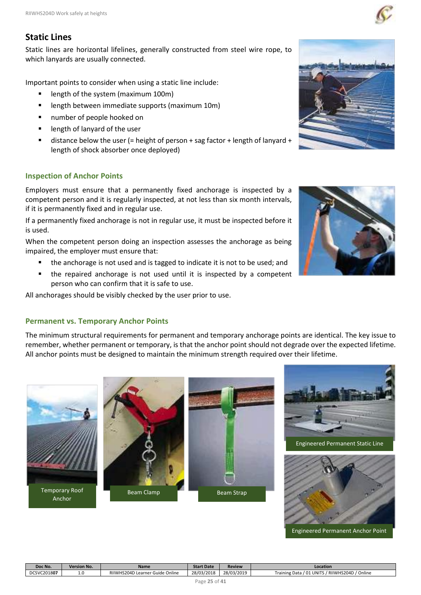# **Static Lines**

Static lines are horizontal lifelines, generally constructed from steel wire rope, to which lanyards are usually connected.

Important points to consider when using a static line include:

- **E** length of the system (maximum 100m)
- length between immediate supports (maximum 10m)
- number of people hooked on
- **EXEC** length of lanyard of the user
- distance below the user (= height of person + sag factor + length of lanyard + length of shock absorber once deployed)

#### **Inspection of Anchor Points**

Employers must ensure that a permanently fixed anchorage is inspected by a competent person and it is regularly inspected, at not less than six month intervals, if it is permanently fixed and in regular use.

If a permanently fixed anchorage is not in regular use, it must be inspected before it is used.

When the competent person doing an inspection assesses the anchorage as being impaired, the employer must ensure that:

- the anchorage is not used and is tagged to indicate it is not to be used; and
- the repaired anchorage is not used until it is inspected by a competent person who can confirm that it is safe to use.

All anchorages should be visibly checked by the user prior to use.

#### **Permanent vs. Temporary Anchor Points**

The minimum structural requirements for permanent and temporary anchorage points are identical. The key issue to remember, whether permanent or temporary, is that the anchor point should not degrade over the expected lifetime. All anchor points must be designed to maintain the minimum strength required over their lifetime.



Beam Clamp Beam Strap









Engineered Permanent Anchor Point

| Doc No.     | <b>Version No.</b> | <b>Name</b>                     | <b>Start Date</b> | <b>Review</b> | Location                                            |  |
|-------------|--------------------|---------------------------------|-------------------|---------------|-----------------------------------------------------|--|
| DCSVC201807 | 1.0                | RIIWHS204D Learner Guide Online | 28/03/2018        | 28/03/2019    | Training Data / 01 UNITS / RIIWHS204D /<br>' Online |  |



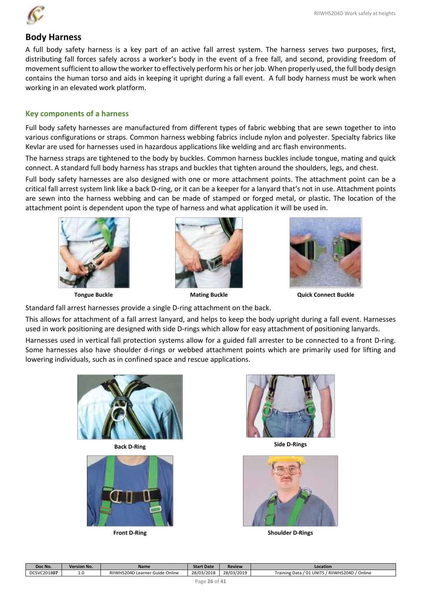

### **Body Harness**

A full body safety harness is a key part of an active fall arrest system. The harness serves two purposes, first, distributing fall forces safely across a worker's body in the event of a free fall, and second, providing freedom of movement sufficient to allow the worker to effectively perform his or her job. When properly used, the full body design contains the human torso and aids in keeping it upright during a fall event. A full body harness must be work when working in an elevated work platform.

#### **Key components of a harness**

Full body safety harnesses are manufactured from different types of fabric webbing that are sewn together to into various configurations or straps. Common harness webbing fabrics include nylon and polyester. Specialty fabrics like Kevlar are used for harnesses used in hazardous applications like welding and arc flash environments.

The harness straps are tightened to the body by buckles. Common harness buckles include tongue, mating and quick connect. A standard full body harness has straps and buckles that tighten around the shoulders, legs, and chest.

Full body safety harnesses are also designed with one or more attachment points. The attachment point can be a critical fall arrest system link like a back D-ring, or it can be a keeper for a lanyard that's not in use. Attachment points are sewn into the harness webbing and can be made of stamped or forged metal, or plastic. The location of the attachment point is dependent upon the type of harness and what application it will be used in.







**Tongue Buckle Mating Buckle Mating Buckle Quick Connect Buckle** 

Standard fall arrest harnesses provide a single D-ring attachment on the back.

This allows for attachment of a fall arrest lanyard, and helps to keep the body upright during a fall event. Harnesses used in work positioning are designed with side D-rings which allow for easy attachment of positioning lanyards.

Harnesses used in vertical fall protection systems allow for a guided fall arrester to be connected to a front D-ring. Some harnesses also have shoulder d-rings or webbed attachment points which are primarily used for lifting and lowering individuals, such as in confined space and rescue applications.







**Back D-Ring Side D-Rings** 



**Front D-Ring Shoulder D-Rings** 

| Doc No.     | <b>Version No.</b> | Name                                 | <b>Start Date</b> | <b>Review</b> | Location                                                                          |
|-------------|--------------------|--------------------------------------|-------------------|---------------|-----------------------------------------------------------------------------------|
| DCSVC201807 | ⊥∙∪                | RIIWHS204D Learner G<br>Guide Online | 28/03/2018        | 28/03/2019    | ' Online<br>/ RIIWHS204D<br><b>1 UNITS</b><br>$\mathbf{A}$<br>Fraining Data<br>υ⊥ |
|             |                    |                                      | $-$<br>$-$        | .             |                                                                                   |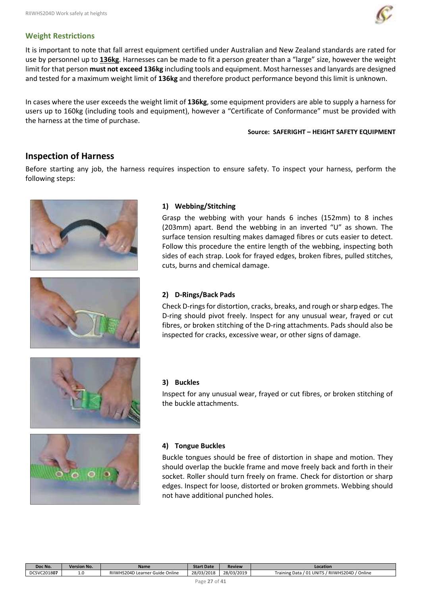

### **Weight Restrictions**

It is important to note that fall arrest equipment certified under Australian and New Zealand standards are rated for use by personnel up to **136kg**. Harnesses can be made to fit a person greater than a "large" size, however the weight limit for that person **must not exceed 136kg** including tools and equipment. Most harnesses and lanyards are designed and tested for a maximum weight limit of **136kg** and therefore product performance beyond this limit is unknown.

In cases where the user exceeds the weight limit of **136kg**, some equipment providers are able to supply a harness for users up to 160kg (including tools and equipment), however a "Certificate of Conformance" must be provided with the harness at the time of purchase.

#### **Source: SAFERIGHT – HEIGHT SAFETY EQUIPMENT**

### **Inspection of Harness**

Before starting any job, the harness requires inspection to ensure safety. To inspect your harness, perform the following steps:





### **1) Webbing/Stitching**

Grasp the webbing with your hands 6 inches (152mm) to 8 inches (203mm) apart. Bend the webbing in an inverted "U" as shown. The surface tension resulting makes damaged fibres or cuts easier to detect. Follow this procedure the entire length of the webbing, inspecting both sides of each strap. Look for frayed edges, broken fibres, pulled stitches, cuts, burns and chemical damage.

### **2) D-Rings/Back Pads**

Check D-rings for distortion, cracks, breaks, and rough or sharp edges. The D-ring should pivot freely. Inspect for any unusual wear, frayed or cut fibres, or broken stitching of the D-ring attachments. Pads should also be inspected for cracks, excessive wear, or other signs of damage.



#### **3) Buckles**

Inspect for any unusual wear, frayed or cut fibres, or broken stitching of the buckle attachments.



#### **4) Tongue Buckles**

Buckle tongues should be free of distortion in shape and motion. They should overlap the buckle frame and move freely back and forth in their socket. Roller should turn freely on frame. Check for distortion or sharp edges. Inspect for loose, distorted or broken grommets. Webbing should not have additional punched holes.

| Doc No.            | <b>Version No.</b> | Name                                     | <b>Start Date</b> | <b>Review</b> | Location                                                  |
|--------------------|--------------------|------------------------------------------|-------------------|---------------|-----------------------------------------------------------|
| <b>DCSVC201807</b> | 1.V                | RIIWHS204D Learner (<br>Online<br>'Guide | 28/03/2018        | 28/03/2019    | d Online<br>$'$ 01 UNITS .<br>RIIWHS204D<br>Training Data |
|                    |                    |                                          |                   |               |                                                           |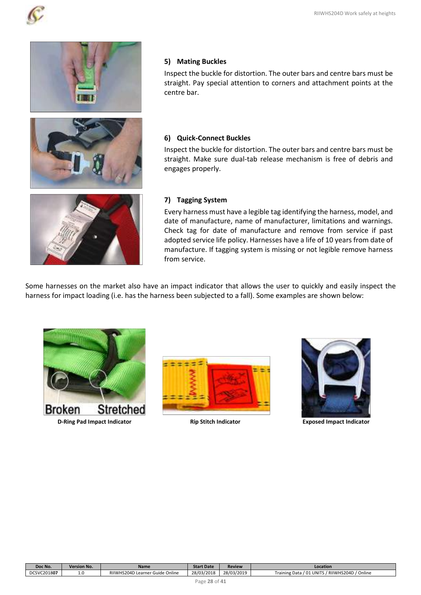

### **5) Mating Buckles**

Inspect the buckle for distortion. The outer bars and centre bars must be straight. Pay special attention to corners and attachment points at the centre bar.

### **6) Quick-Connect Buckles**

Inspect the buckle for distortion. The outer bars and centre bars must be straight. Make sure dual-tab release mechanism is free of debris and engages properly.



#### **7) Tagging System**

Every harness must have a legible tag identifying the harness, model, and date of manufacture, name of manufacturer, limitations and warnings. Check tag for date of manufacture and remove from service if past adopted service life policy. Harnesses have a life of 10 years from date of manufacture. If tagging system is missing or not legible remove harness from service.

Some harnesses on the market also have an impact indicator that allows the user to quickly and easily inspect the harness for impact loading (i.e. has the harness been subjected to a fall). Some examples are shown below:







| Doc No.     | <b>Version No.</b> | Name                                              | <b>Start Date</b> | Review     | Location                                                    |
|-------------|--------------------|---------------------------------------------------|-------------------|------------|-------------------------------------------------------------|
| DCSVC201807 | ⊥.∪                | 15204D<br>RIIWF<br>Online<br>: Guide<br>Learner ' | 28/03/2018        | 28/03/2019 | RIIWHS204D<br>d Online<br><b>UNITS</b><br>.<br>raining Data |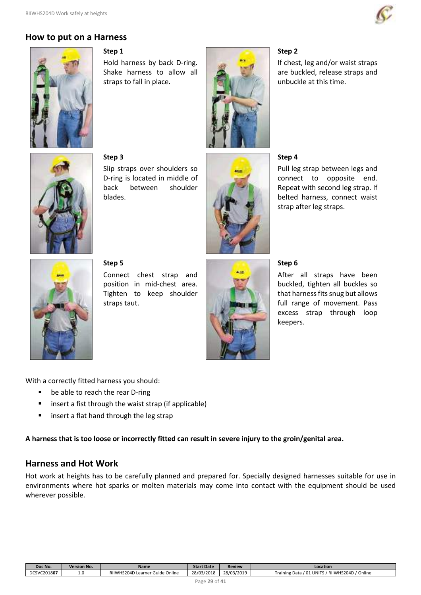

### **How to put on a Harness**



#### **Step 1**

**Step 3** 

Hold harness by back D-ring. Shake harness to allow all straps to fall in place.



#### **Step 2**

If chest, leg and/or waist straps are buckled, release straps and unbuckle at this time.



Slip straps over shoulders so D-ring is located in middle of back between shoulder blades.



#### **Step 4**

Pull leg strap between legs and connect to opposite end. Repeat with second leg strap. If belted harness, connect waist strap after leg straps.



**Step 5**  Connect chest strap and position in mid-chest area. Tighten to keep shoulder



#### **Step 6**

After all straps have been buckled, tighten all buckles so that harness fits snug but allows full range of movement. Pass excess strap through loop keepers.

With a correctly fitted harness you should:

- be able to reach the rear D-ring
- **EXTERN** insert a fist through the waist strap (if applicable)

straps taut.

insert a flat hand through the leg strap

**A harness that is too loose or incorrectly fitted can result in severe injury to the groin/genital area.** 

### **Harness and Hot Work**

Hot work at heights has to be carefully planned and prepared for. Specially designed harnesses suitable for use in environments where hot sparks or molten materials may come into contact with the equipment should be used wherever possible.

| Doc No.     | <b>Version No.</b> | <b>Name</b>                          | <b>Start Date</b> | <b>Review</b> | Location                                                     |
|-------------|--------------------|--------------------------------------|-------------------|---------------|--------------------------------------------------------------|
| DCSVC201807 | 1.U                | RIIWHS204D Learner G<br>Guide Online | 28/03/2018        | 28/03/2019    | ' Online<br>/ RIIWHS204D<br>01 UNITS<br>: Data<br>Fraining l |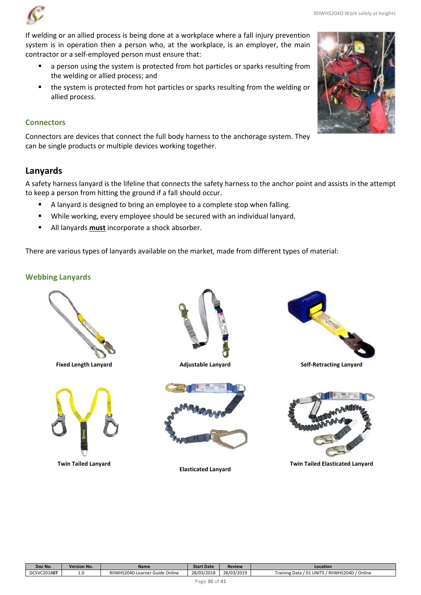RIIWHS204D Work safely at heights

If welding or an allied process is being done at a workplace where a fall injury prevention system is in operation then a person who, at the workplace, is an employer, the main contractor or a self-employed person must ensure that:

- a person using the system is protected from hot particles or sparks resulting from the welding or allied process; and
- the system is protected from hot particles or sparks resulting from the welding or allied process.

### **Connectors**

Connectors are devices that connect the full body harness to the anchorage system. They can be single products or multiple devices working together.

# **Lanyards**

A safety harness lanyard is the lifeline that connects the safety harness to the anchor point and assists in the attempt to keep a person from hitting the ground if a fall should occur.

- A lanyard is designed to bring an employee to a complete stop when falling.
- While working, every employee should be secured with an individual lanyard.
- All lanyards **must** incorporate a shock absorber.

There are various types of lanyards available on the market, made from different types of material:

### **Webbing Lanyards**





**Twin Tailed Lanyard** 





**Elasticated Lanyard** 



**Fixed Length Lanyard Adjustable Lanyard Self-Retracting Lanyard** 



**Twin Tailed Elasticated Lanyard** 



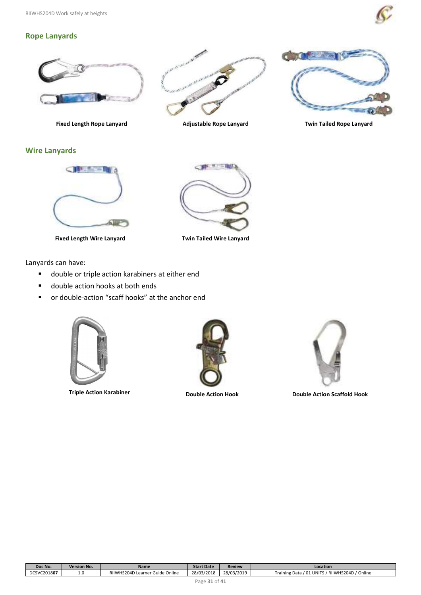

### **Rope Lanyards**







**Wire Lanyards** 



**Fixed Length Wire Lanyard Twin Tailed Wire Lanyard** 



Lanyards can have:

- double or triple action karabiners at either end
- double action hooks at both ends
- or double-action "scaff hooks" at the anchor end







**Triple Action Karabiner Community Couple Action Hook Community Couple Action Scaffold Hook Community Community** 

| / RIIWHS204D<br>: Online<br>' Guide | Doc No.     | <b>Version No.</b> | Name               | <b>Start Date</b> | <b>Review</b> | Location                                   |
|-------------------------------------|-------------|--------------------|--------------------|-------------------|---------------|--------------------------------------------|
|                                     | DCSVC201807 | <b>1.U</b>         | RIIWHS204D Learner | 28/03/2018        | 28/03/2019    | ' Online<br>01 UNITS<br>. Data<br>ʻraining |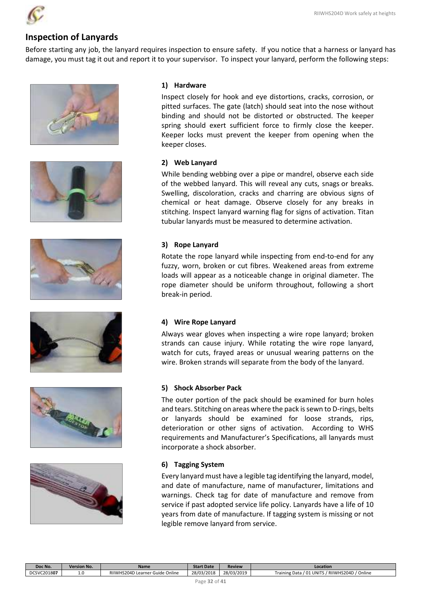

# **Inspection of Lanyards**

Before starting any job, the lanyard requires inspection to ensure safety. If you notice that a harness or lanyard has damage, you must tag it out and report it to your supervisor. To inspect your lanyard, perform the following steps:













#### **1) Hardware**

Inspect closely for hook and eye distortions, cracks, corrosion, or pitted surfaces. The gate (latch) should seat into the nose without binding and should not be distorted or obstructed. The keeper spring should exert sufficient force to firmly close the keeper. Keeper locks must prevent the keeper from opening when the keeper closes.

#### **2) Web Lanyard**

While bending webbing over a pipe or mandrel, observe each side of the webbed lanyard. This will reveal any cuts, snags or breaks. Swelling, discoloration, cracks and charring are obvious signs of chemical or heat damage. Observe closely for any breaks in stitching. Inspect lanyard warning flag for signs of activation. Titan tubular lanyards must be measured to determine activation.

#### **3) Rope Lanyard**

Rotate the rope lanyard while inspecting from end-to-end for any fuzzy, worn, broken or cut fibres. Weakened areas from extreme loads will appear as a noticeable change in original diameter. The rope diameter should be uniform throughout, following a short break-in period.

#### **4) Wire Rope Lanyard**

Always wear gloves when inspecting a wire rope lanyard; broken strands can cause injury. While rotating the wire rope lanyard, watch for cuts, frayed areas or unusual wearing patterns on the wire. Broken strands will separate from the body of the lanyard.

#### **5) Shock Absorber Pack**

The outer portion of the pack should be examined for burn holes and tears. Stitching on areas where the pack is sewn to D-rings, belts or lanyards should be examined for loose strands, rips, deterioration or other signs of activation. According to WHS requirements and Manufacturer's Specifications, all lanyards must incorporate a shock absorber.

#### **6) Tagging System**

Every lanyard must have a legible tag identifying the lanyard, model, and date of manufacture, name of manufacturer, limitations and warnings. Check tag for date of manufacture and remove from service if past adopted service life policy. Lanyards have a life of 10 years from date of manufacture. If tagging system is missing or not legible remove lanyard from service.

| Doc No.     | <b>Version No.</b> | <b>Name</b>                          | <b>Start Date</b> | <b>Review</b> | Location                                              |
|-------------|--------------------|--------------------------------------|-------------------|---------------|-------------------------------------------------------|
| DCSVC201807 | 1.0                | online -<br>RIIWHS204D Learner Guide | 28/03/2018        | 28/03/2019    | ' Online<br>/ RIIWHS204D<br>Training Data / 01 UNITS, |
|             |                    |                                      |                   |               |                                                       |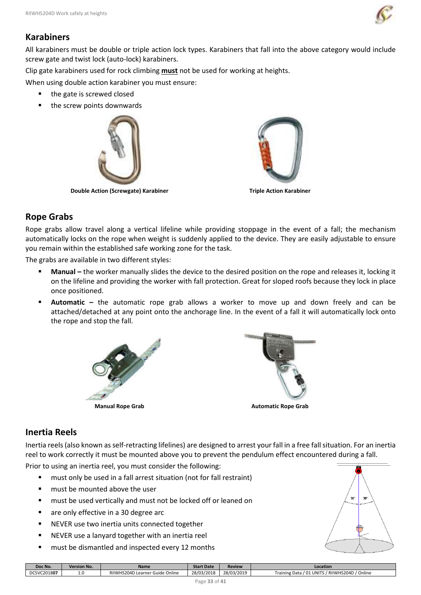

# **Karabiners**

All karabiners must be double or triple action lock types. Karabiners that fall into the above category would include screw gate and twist lock (auto-lock) karabiners.

Clip gate karabiners used for rock climbing **must** not be used for working at heights.

When using double action karabiner you must ensure:

- the gate is screwed closed
- the screw points downwards



**Double Action (Screwgate) Karabiner Triple Action Karabiner Communisty Communisty Communisty Communisty Communisty Communisty Communisty Communisty Communisty Communisty Communisty Communisty Communisty Communisty Communi** 



# **Rope Grabs**

Rope grabs allow travel along a vertical lifeline while providing stoppage in the event of a fall; the mechanism automatically locks on the rope when weight is suddenly applied to the device. They are easily adjustable to ensure you remain within the established safe working zone for the task.

The grabs are available in two different styles:

- **Manual –** the worker manually slides the device to the desired position on the rope and releases it, locking it on the lifeline and providing the worker with fall protection. Great for sloped roofs because they lock in place once positioned.
- **Automatic** the automatic rope grab allows a worker to move up and down freely and can be attached/detached at any point onto the anchorage line. In the event of a fall it will automatically lock onto the rope and stop the fall.





**Manual Rope Grab 19.1 Contract Automatic Rope Grab 19.1 Contract Automatic Rope Grab** 

# **Inertia Reels**

Inertia reels (also known as self-retracting lifelines) are designed to arrest your fall in a free fall situation. For an inertia reel to work correctly it must be mounted above you to prevent the pendulum effect encountered during a fall.

Prior to using an inertia reel, you must consider the following:

- must only be used in a fall arrest situation (not for fall restraint)
- **F** must be mounted above the user
- **n** must be used vertically and must not be locked off or leaned on
- **are only effective in a 30 degree arcure.**
- NEVER use two inertia units connected together
- NEVER use a lanyard together with an inertia reel
- must be dismantled and inspected every 12 months



| Doc No.     | <b>Version No.</b> | <b>Name</b>                                     | <b>Start Date</b> | <b>Review</b> | Location                                                            |
|-------------|--------------------|-------------------------------------------------|-------------------|---------------|---------------------------------------------------------------------|
| DCSVC201807 | <b>L.U</b>         | Online<br><b>HS204D Learner Guide</b><br>RIIWH: | 28/03/2018        | 28/03/2019    | / RIIWHS204D / Online<br>UNITS<br>$\sqrt{24}$<br>Training Data<br>◡ |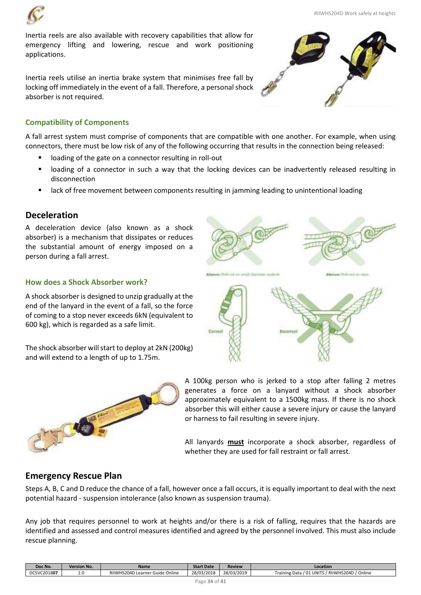

Inertia reels are also available with recovery capabilities that allow for emergency lifting and lowering, rescue and work positioning applications.

Inertia reels utilise an inertia brake system that minimises free fall by locking off immediately in the event of a fall. Therefore, a personal shock absorber is not required.



#### **Compatibility of Components**

A fall arrest system must comprise of components that are compatible with one another. For example, when using connectors, there must be low risk of any of the following occurring that results in the connection being released:

- loading of the gate on a connector resulting in roll-out
- loading of a connector in such a way that the locking devices can be inadvertently released resulting in disconnection
- lack of free movement between components resulting in jamming leading to unintentional loading

### **Deceleration**

A deceleration device (also known as a shock absorber) is a mechanism that dissipates or reduces the substantial amount of energy imposed on a person during a fall arrest.

#### **How does a Shock Absorber work?**

A shock absorber is designed to unzip gradually at the end of the lanyard in the event of a fall, so the force of coming to a stop never exceeds 6kN (equivalent to 600 kg), which is regarded as a safe limit.

The shock absorber will start to deploy at 2kN (200kg) and will extend to a length of up to 1.75m.



Abdwer Holl-Lut on a Corre

A 100kg person who is jerked to a stop after falling 2 metres generates a force on a lanyard without a shock absorber approximately equivalent to a 1500kg mass. If there is no shock absorber this will either cause a severe injury or cause the lanyard or harness to fail resulting in severe injury.

All lanyards **must** incorporate a shock absorber, regardless of whether they are used for fall restraint or fall arrest.

#### **Emergency Rescue Plan**

Steps A, B, C and D reduce the chance of a fall, however once a fall occurs, it is equally important to deal with the next potential hazard - suspension intolerance (also known as suspension trauma).

Any job that requires personnel to work at heights and/or there is a risk of falling, requires that the hazards are identified and assessed and control measures identified and agreed by the personnel involved. This must also include rescue planning.

| Doc No.     | <b>Version No.</b> | Name                               | <b>Start Date</b> | <b>Review</b> | Location                                             |
|-------------|--------------------|------------------------------------|-------------------|---------------|------------------------------------------------------|
| DCSVC201807 | ⊥∙∪                | RIIWHS204D Learner Guide<br>Online | 28/03/2018        | 28/03/2019    | ' Online<br>/ RIIWHS204D<br>01 UNIT<br>Training Data |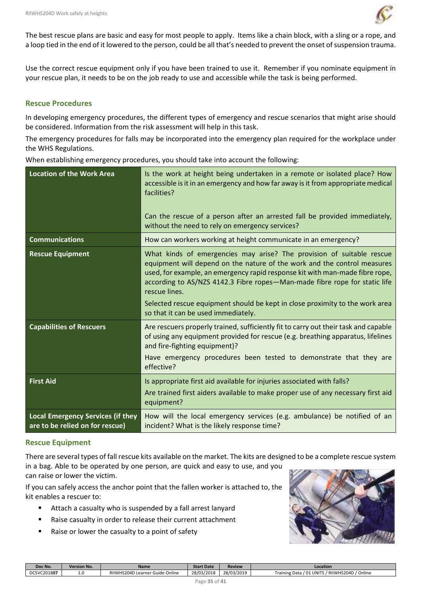

The best rescue plans are basic and easy for most people to apply. Items like a chain block, with a sling or a rope, and a loop tied in the end of it lowered to the person, could be all that's needed to prevent the onset of suspension trauma.

Use the correct rescue equipment only if you have been trained to use it. Remember if you nominate equipment in your rescue plan, it needs to be on the job ready to use and accessible while the task is being performed.

### **Rescue Procedures**

In developing emergency procedures, the different types of emergency and rescue scenarios that might arise should be considered. Information from the risk assessment will help in this task.

The emergency procedures for falls may be incorporated into the emergency plan required for the workplace under the WHS Regulations.

When establishing emergency procedures, you should take into account the following:

| <b>Location of the Work Area</b>                                            | Is the work at height being undertaken in a remote or isolated place? How<br>accessible is it in an emergency and how far away is it from appropriate medical<br>facilities?<br>Can the rescue of a person after an arrested fall be provided immediately,<br>without the need to rely on emergency services?                                                                                                                                           |
|-----------------------------------------------------------------------------|---------------------------------------------------------------------------------------------------------------------------------------------------------------------------------------------------------------------------------------------------------------------------------------------------------------------------------------------------------------------------------------------------------------------------------------------------------|
| <b>Communications</b>                                                       | How can workers working at height communicate in an emergency?                                                                                                                                                                                                                                                                                                                                                                                          |
| <b>Rescue Equipment</b>                                                     | What kinds of emergencies may arise? The provision of suitable rescue<br>equipment will depend on the nature of the work and the control measures<br>used, for example, an emergency rapid response kit with man-made fibre rope,<br>according to AS/NZS 4142.3 Fibre ropes-Man-made fibre rope for static life<br>rescue lines.<br>Selected rescue equipment should be kept in close proximity to the work area<br>so that it can be used immediately. |
| <b>Capabilities of Rescuers</b>                                             | Are rescuers properly trained, sufficiently fit to carry out their task and capable<br>of using any equipment provided for rescue (e.g. breathing apparatus, lifelines<br>and fire-fighting equipment)?<br>Have emergency procedures been tested to demonstrate that they are<br>effective?                                                                                                                                                             |
| <b>First Aid</b>                                                            | Is appropriate first aid available for injuries associated with falls?<br>Are trained first aiders available to make proper use of any necessary first aid<br>equipment?                                                                                                                                                                                                                                                                                |
| <b>Local Emergency Services (if they</b><br>are to be relied on for rescue) | How will the local emergency services (e.g. ambulance) be notified of an<br>incident? What is the likely response time?                                                                                                                                                                                                                                                                                                                                 |

### **Rescue Equipment**

There are several types of fall rescue kits available on the market. The kits are designed to be a complete rescue system in a bag. Able to be operated by one person, are quick and easy to use, and you can raise or lower the victim.

If you can safely access the anchor point that the fallen worker is attached to, the kit enables a rescuer to:

- Attach a casualty who is suspended by a fall arrest lanyard
- Raise casualty in order to release their current attachment
- Raise or lower the casualty to a point of safety



| Doc No.     | <b>Version No.</b> | Name                                    | <b>Start Date</b> | <b>Review</b> | Location                                                     |
|-------------|--------------------|-----------------------------------------|-------------------|---------------|--------------------------------------------------------------|
| DCSVC201807 | 1.U                | Online<br>RIIWHS204D Learner (<br>auide | 28/03/2018        | 28/03/2019    | ' Online<br>/ RIIWHS204D<br>01 UNITS<br>Training L<br>Data . |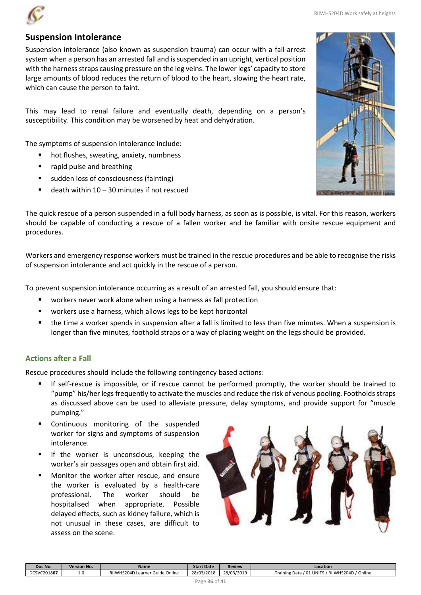

### **Suspension Intolerance**

Suspension intolerance (also known as suspension trauma) can occur with a fall-arrest system when a person has an arrested fall and is suspended in an upright, vertical position with the harness straps causing pressure on the leg veins. The lower legs' capacity to store large amounts of blood reduces the return of blood to the heart, slowing the heart rate, which can cause the person to faint.

This may lead to renal failure and eventually death, depending on a person's susceptibility. This condition may be worsened by heat and dehydration.

The symptoms of suspension intolerance include:

- hot flushes, sweating, anxiety, numbness
- rapid pulse and breathing
- sudden loss of consciousness (fainting)
- death within 10 30 minutes if not rescued



Workers and emergency response workers must be trained in the rescue procedures and be able to recognise the risks of suspension intolerance and act quickly in the rescue of a person.

To prevent suspension intolerance occurring as a result of an arrested fall, you should ensure that:

- workers never work alone when using a harness as fall protection
- workers use a harness, which allows legs to be kept horizontal
- the time a worker spends in suspension after a fall is limited to less than five minutes. When a suspension is longer than five minutes, foothold straps or a way of placing weight on the legs should be provided.

#### **Actions after a Fall**

Rescue procedures should include the following contingency based actions:

- If self-rescue is impossible, or if rescue cannot be performed promptly, the worker should be trained to "pump" his/her legs frequently to activate the muscles and reduce the risk of venous pooling. Footholds straps as discussed above can be used to alleviate pressure, delay symptoms, and provide support for "muscle pumping."
- **EX Continuous monitoring of the suspended** worker for signs and symptoms of suspension intolerance.
- If the worker is unconscious, keeping the worker's air passages open and obtain first aid.
- Monitor the worker after rescue, and ensure the worker is evaluated by a health-care professional. The worker should be hospitalised when appropriate. Possible delayed effects, such as kidney failure, which is not unusual in these cases, are difficult to assess on the scene.



| Doc No.     | <b>Version No.</b> | <b>Name</b>                     | <b>Start Date</b> | <b>Review</b> | Location                                                              |
|-------------|--------------------|---------------------------------|-------------------|---------------|-----------------------------------------------------------------------|
| DCSVC201807 | <b>1.U</b>         | RIIWHS204D Learner Guide Online | 28/03/2018        | 28/03/2019    | <sup>'</sup> Online<br>/RIIWHS204D<br>/ 01 UNITS .<br>Training Data / |

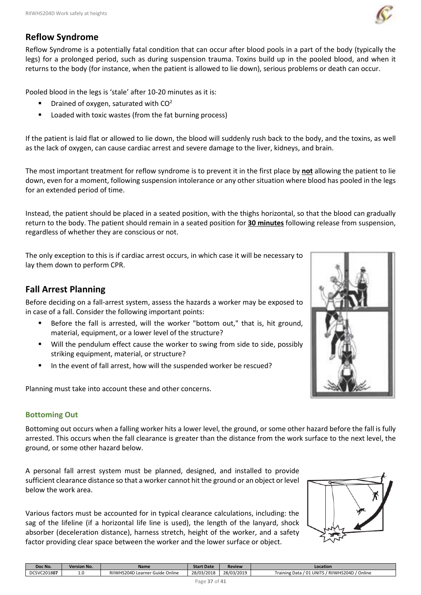# **Reflow Syndrome**

Reflow Syndrome is a potentially fatal condition that can occur after blood pools in a part of the body (typically the legs) for a prolonged period, such as during suspension trauma. Toxins build up in the pooled blood, and when it returns to the body (for instance, when the patient is allowed to lie down), serious problems or death can occur.

Pooled blood in the legs is 'stale' after 10-20 minutes as it is:

- Drained of oxygen, saturated with  $CO<sup>2</sup>$
- Loaded with toxic wastes (from the fat burning process)

If the patient is laid flat or allowed to lie down, the blood will suddenly rush back to the body, and the toxins, as well as the lack of oxygen, can cause cardiac arrest and severe damage to the liver, kidneys, and brain.

The most important treatment for reflow syndrome is to prevent it in the first place by **not** allowing the patient to lie down, even for a moment, following suspension intolerance or any other situation where blood has pooled in the legs for an extended period of time.

Instead, the patient should be placed in a seated position, with the thighs horizontal, so that the blood can gradually return to the body. The patient should remain in a seated position for **30 minutes** following release from suspension, regardless of whether they are conscious or not.

The only exception to this is if cardiac arrest occurs, in which case it will be necessary to lay them down to perform CPR.

# **Fall Arrest Planning**

Before deciding on a fall-arrest system, assess the hazards a worker may be exposed to in case of a fall. Consider the following important points:

- Before the fall is arrested, will the worker "bottom out," that is, hit ground, material, equipment, or a lower level of the structure?
- Will the pendulum effect cause the worker to swing from side to side, possibly striking equipment, material, or structure?
- In the event of fall arrest, how will the suspended worker be rescued?

Planning must take into account these and other concerns.

### **Bottoming Out**

Bottoming out occurs when a falling worker hits a lower level, the ground, or some other hazard before the fall is fully arrested. This occurs when the fall clearance is greater than the distance from the work surface to the next level, the ground, or some other hazard below.

A personal fall arrest system must be planned, designed, and installed to provide sufficient clearance distance so that a worker cannot hit the ground or an object or level below the work area.

Various factors must be accounted for in typical clearance calculations, including: the sag of the lifeline (if a horizontal life line is used), the length of the lanyard, shock absorber (deceleration distance), harness stretch, height of the worker, and a safety factor providing clear space between the worker and the lower surface or object.



| Doc No.     | <b>Version No.</b> | Name                                    | <b>Start Date</b> | <b>Review</b> | Location                                                             |
|-------------|--------------------|-----------------------------------------|-------------------|---------------|----------------------------------------------------------------------|
| DCSVC201807 |                    | RIIWHS204D Learner G<br>Online<br>Guide | 28/03/2018        | 28/03/2019    | ' Online<br>RIIWHS204D<br><b>UNITS</b><br>$\sim$<br>Training<br>Data |

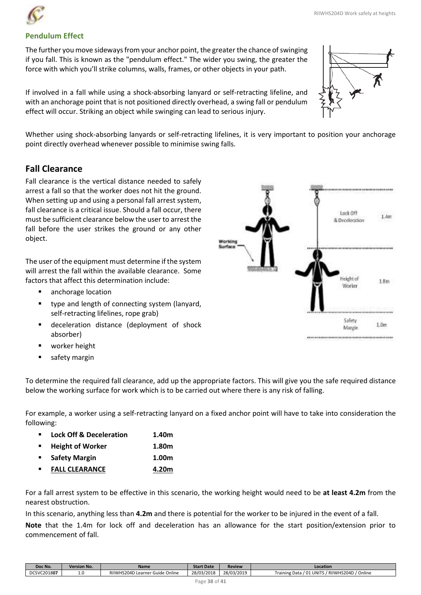

#### **Pendulum Effect**

The further you move sideways from your anchor point, the greater the chance of swinging if you fall. This is known as the "pendulum effect." The wider you swing, the greater the force with which you'll strike columns, walls, frames, or other objects in your path.

If involved in a fall while using a shock-absorbing lanyard or self-retracting lifeline, and with an anchorage point that is not positioned directly overhead, a swing fall or pendulum effect will occur. Striking an object while swinging can lead to serious injury.

Whether using shock-absorbing lanyards or self-retracting lifelines, it is very important to position your anchorage point directly overhead whenever possible to minimise swing falls.

# **Fall Clearance**

Fall clearance is the vertical distance needed to safely arrest a fall so that the worker does not hit the ground. When setting up and using a personal fall arrest system, fall clearance is a critical issue. Should a fall occur, there must be sufficient clearance below the user to arrest the fall before the user strikes the ground or any other object.

The user of the equipment must determine if the system will arrest the fall within the available clearance. Some factors that affect this determination include:

- **anchorage location**
- type and length of connecting system (lanyard, self-retracting lifelines, rope grab)
- deceleration distance (deployment of shock absorber)
- worker height
- safety margin

To determine the required fall clearance, add up the appropriate factors. This will give you the safe required distance below the working surface for work which is to be carried out where there is any risk of falling.

For example, a worker using a self-retracting lanyard on a fixed anchor point will have to take into consideration the following:

- **Lock Off & Deceleration** 1.40m
- **Height of Worker** 1.80m
- **Safety Margin** 1.00m
- **FALL CLEARANCE 4.20m**

For a fall arrest system to be effective in this scenario, the working height would need to be **at least 4.2m** from the nearest obstruction.

In this scenario, anything less than **4.2m** and there is potential for the worker to be injured in the event of a fall.

**Note** that the 1.4m for lock off and deceleration has an allowance for the start position/extension prior to commencement of fall.

| Doc No.     | <b>Version No.</b> | <b>Name</b>                                 | <b>Start Date</b> | <b>Review</b> | Location                                               |
|-------------|--------------------|---------------------------------------------|-------------------|---------------|--------------------------------------------------------|
| DCSVC201807 | 1.U                | Online<br>RIIWHS204D Learner Gu'<br>' Guide | 28/03/2018        | 28/03/2019    | d Online<br>/ RIIWHS204D<br>Training Data / 01 UNITS / |

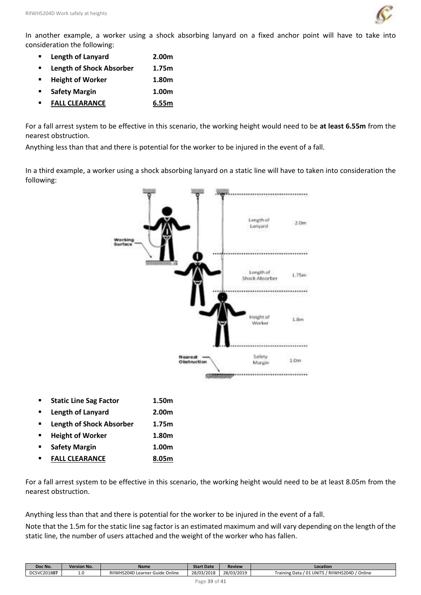

In another example, a worker using a shock absorbing lanyard on a fixed anchor point will have to take into consideration the following:

- **Length of Lanyard 2.00m**
- **Length of Shock Absorber 1.75m**
- **Height of Worker 1.80m Safety Margin** 1.00m
- **FALL CLEARANCE 6.55m**

For a fall arrest system to be effective in this scenario, the working height would need to be **at least 6.55m** from the nearest obstruction.

Anything less than that and there is potential for the worker to be injured in the event of a fall.

In a third example, a worker using a shock absorbing lanyard on a static line will have to taken into consideration the following:



- **F** Static Line Sag Factor 1.50m
- **Length of Lanyard 2.00m**
- **Length of Shock Absorber 1.75m**
- **Height of Worker** 1.80m
- **Safety Margin 1.00m**
- **FALL CLEARANCE 8.05m**

For a fall arrest system to be effective in this scenario, the working height would need to be at least 8.05m from the nearest obstruction.

Anything less than that and there is potential for the worker to be injured in the event of a fall.

Note that the 1.5m for the static line sag factor is an estimated maximum and will vary depending on the length of the static line, the number of users attached and the weight of the worker who has fallen.

| Doc No.     | <b>Version No.</b> | Name                                           | <b>Start Date</b> | <b>Review</b> | Location                                             |
|-------------|--------------------|------------------------------------------------|-------------------|---------------|------------------------------------------------------|
| DCSVC201807 | <b>L.U</b>         | Online<br>RIIWHS204D L<br>Guide<br>' Learner ر | 28/03/2018        | 28/03/2019    | ' Online<br>/ RIIWHS204D<br>01 UNIT<br>Training Data |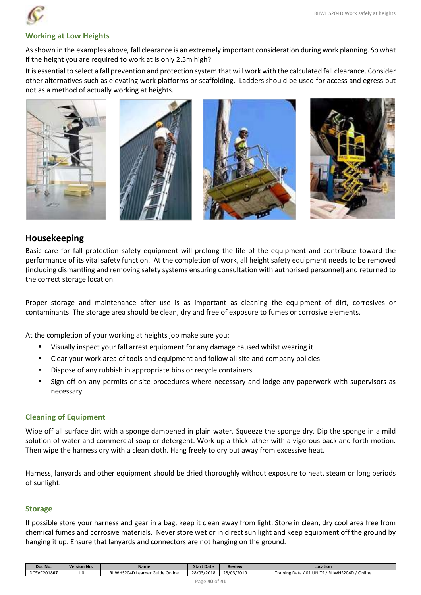

### **Working at Low Heights**

As shown in the examples above, fall clearance is an extremely important consideration during work planning. So what if the height you are required to work at is only 2.5m high?

It is essential to select a fall prevention and protection system that will work with the calculated fall clearance. Consider other alternatives such as elevating work platforms or scaffolding. Ladders should be used for access and egress but not as a method of actually working at heights.



# **Housekeeping**

Basic care for fall protection safety equipment will prolong the life of the equipment and contribute toward the performance of its vital safety function. At the completion of work, all height safety equipment needs to be removed (including dismantling and removing safety systems ensuring consultation with authorised personnel) and returned to the correct storage location.

Proper storage and maintenance after use is as important as cleaning the equipment of dirt, corrosives or contaminants. The storage area should be clean, dry and free of exposure to fumes or corrosive elements.

At the completion of your working at heights job make sure you:

- Visually inspect your fall arrest equipment for any damage caused whilst wearing it
- Clear your work area of tools and equipment and follow all site and company policies
- **Dispose of any rubbish in appropriate bins or recycle containers**
- Sign off on any permits or site procedures where necessary and lodge any paperwork with supervisors as necessary

### **Cleaning of Equipment**

Wipe off all surface dirt with a sponge dampened in plain water. Squeeze the sponge dry. Dip the sponge in a mild solution of water and commercial soap or detergent. Work up a thick lather with a vigorous back and forth motion. Then wipe the harness dry with a clean cloth. Hang freely to dry but away from excessive heat.

Harness, lanyards and other equipment should be dried thoroughly without exposure to heat, steam or long periods of sunlight.

#### **Storage**

If possible store your harness and gear in a bag, keep it clean away from light. Store in clean, dry cool area free from chemical fumes and corrosive materials. Never store wet or in direct sun light and keep equipment off the ground by hanging it up. Ensure that lanyards and connectors are not hanging on the ground.

| Doc No.     | <b>Version No.</b> | Name                            | <b>Start Date</b> | <b>Review</b> | Location                                                               |
|-------------|--------------------|---------------------------------|-------------------|---------------|------------------------------------------------------------------------|
| DCSVC201807 | 1.U                | RIIWHS204D Learner Guide Online | 28/03/2018        | 28/03/2019    | d Online<br>01 UNITS<br>/ RIIWHS204D<br>Training Data $\overline{I}$ . |